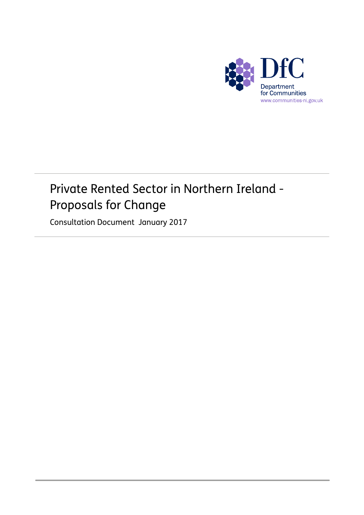

### Private Rented Sector in Northern Ireland - Proposals for Change

Consultation Document January 2017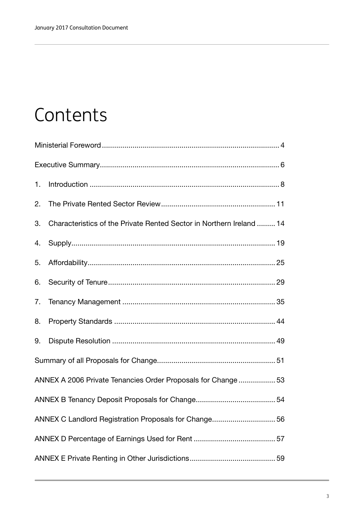### **Contents**

| 1.                                                            |                                                                      |  |  |  |  |  |
|---------------------------------------------------------------|----------------------------------------------------------------------|--|--|--|--|--|
| 2.                                                            |                                                                      |  |  |  |  |  |
| 3.                                                            | Characteristics of the Private Rented Sector in Northern Ireland  14 |  |  |  |  |  |
| 4.                                                            |                                                                      |  |  |  |  |  |
| 5.                                                            |                                                                      |  |  |  |  |  |
| 6.                                                            |                                                                      |  |  |  |  |  |
| 7.                                                            |                                                                      |  |  |  |  |  |
| 8.                                                            |                                                                      |  |  |  |  |  |
| 9.                                                            |                                                                      |  |  |  |  |  |
|                                                               |                                                                      |  |  |  |  |  |
| ANNEX A 2006 Private Tenancies Order Proposals for Change  53 |                                                                      |  |  |  |  |  |
|                                                               |                                                                      |  |  |  |  |  |
| ANNEX C Landlord Registration Proposals for Change 56         |                                                                      |  |  |  |  |  |
|                                                               |                                                                      |  |  |  |  |  |
|                                                               |                                                                      |  |  |  |  |  |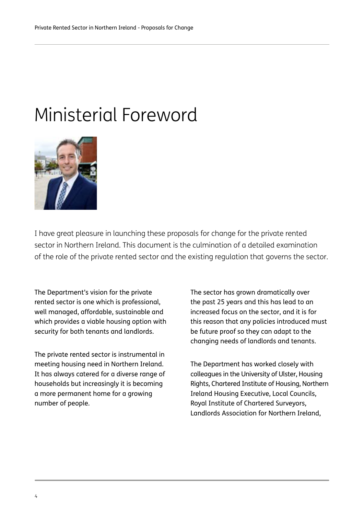### Ministerial Foreword



I have great pleasure in launching these proposals for change for the private rented sector in Northern Ireland. This document is the culmination of a detailed examination of the role of the private rented sector and the existing regulation that governs the sector.

The Department's vision for the private rented sector is one which is professional, well managed, affordable, sustainable and which provides a viable housing option with security for both tenants and landlords.

The private rented sector is instrumental in meeting housing need in Northern Ireland. It has always catered for a diverse range of households but increasingly it is becoming a more permanent home for a growing number of people.

The sector has grown dramatically over the past 25 years and this has lead to an increased focus on the sector, and it is for this reason that any policies introduced must be future proof so they can adapt to the changing needs of landlords and tenants.

The Department has worked closely with colleagues in the University of Ulster, Housing Rights, Chartered Institute of Housing, Northern Ireland Housing Executive, Local Councils, Royal Institute of Chartered Surveyors, Landlords Association for Northern Ireland,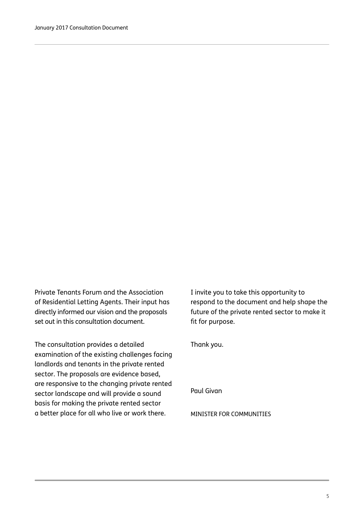Private Tenants Forum and the Association of Residential Letting Agents. Their input has directly informed our vision and the proposals set out in this consultation document.

The consultation provides a detailed examination of the existing challenges facing landlords and tenants in the private rented sector. The proposals are evidence based, are responsive to the changing private rented sector landscape and will provide a sound basis for making the private rented sector a better place for all who live or work there.

I invite you to take this opportunity to respond to the document and help shape the future of the private rented sector to make it fit for purpose.

Thank you.

Paul Givan

MINISTER FOR COMMUNITIES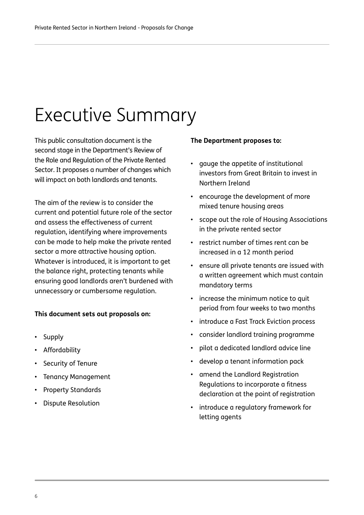## Executive Summary

This public consultation document is the second stage in the Department's Review of the Role and Regulation of the Private Rented Sector. It proposes a number of changes which will impact on both landlords and tenants.

The aim of the review is to consider the current and potential future role of the sector and assess the effectiveness of current regulation, identifying where improvements can be made to help make the private rented sector a more attractive housing option. Whatever is introduced, it is important to get the balance right, protecting tenants while ensuring good landlords aren't burdened with unnecessary or cumbersome regulation.

### **This document sets out proposals on:**

- Supply
- Affordability
- Security of Tenure
- Tenancy Management
- Property Standards
- Dispute Resolution

### **The Department proposes to:**

- gauge the appetite of institutional investors from Great Britain to invest in Northern Ireland
- encourage the development of more mixed tenure housing areas
- scope out the role of Housing Associations in the private rented sector
- restrict number of times rent can be increased in a 12 month period
- ensure all private tenants are issued with a written agreement which must contain mandatory terms
- increase the minimum notice to quit period from four weeks to two months
- introduce a Fast Track Eviction process
- consider landlord training programme
- pilot a dedicated landlord advice line
- develop a tenant information pack
- amend the Landlord Registration Regulations to incorporate a fitness declaration at the point of registration
- introduce a regulatory framework for letting agents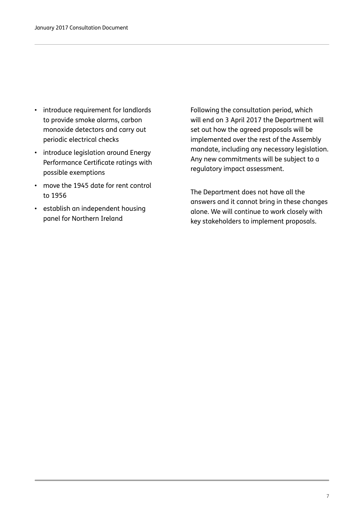- introduce requirement for landlords to provide smoke alarms, carbon monoxide detectors and carry out periodic electrical checks
- introduce legislation around Energy Performance Certificate ratings with possible exemptions
- move the 1945 date for rent control to 1956
- establish an independent housing panel for Northern Ireland

Following the consultation period, which will end on 3 April 2017 the Department will set out how the agreed proposals will be implemented over the rest of the Assembly mandate, including any necessary legislation. Any new commitments will be subject to a regulatory impact assessment.

The Department does not have all the answers and it cannot bring in these changes alone. We will continue to work closely with key stakeholders to implement proposals.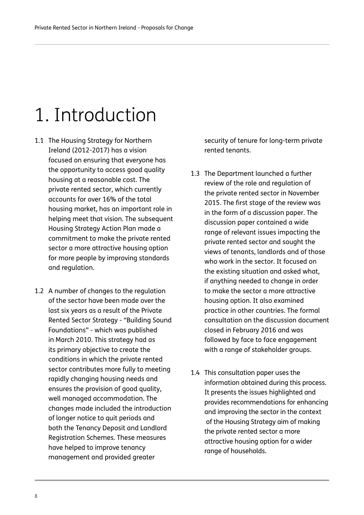### 1. Introduction

- 1.1 The Housing Strategy for Northern Ireland (2012-2017) has a vision focused on ensuring that everyone has the opportunity to access good quality housing at a reasonable cost. The private rented sector, which currently accounts for over 16% of the total housing market, has an important role in helping meet that vision. The subsequent Housing Strategy Action Plan made a commitment to make the private rented sector a more attractive housing option for more people by improving standards and regulation.
- 1.2 A number of changes to the regulation of the sector have been made over the last six years as a result of the Private Rented Sector Strategy - "Building Sound Foundations" - which was published in March 2010. This strategy had as its primary objective to create the conditions in which the private rented sector contributes more fully to meeting rapidly changing housing needs and ensures the provision of good quality, well managed accommodation. The changes made included the introduction of longer notice to quit periods and both the Tenancy Deposit and Landlord Registration Schemes. These measures have helped to improve tenancy management and provided greater

security of tenure for long-term private rented tenants.

- 1.3 The Department launched a further review of the role and regulation of the private rented sector in November 2015. The first stage of the review was in the form of a discussion paper. The discussion paper contained a wide range of relevant issues impacting the private rented sector and sought the views of tenants, landlords and of those who work in the sector. It focused on the existing situation and asked what, if anything needed to change in order to make the sector a more attractive housing option. It also examined practice in other countries. The formal consultation on the discussion document closed in February 2016 and was followed by face to face engagement with a range of stakeholder groups.
- 1.4 This consultation paper uses the information obtained during this process. It presents the issues highlighted and provides recommendations for enhancing and improving the sector in the context of the Housing Strategy aim of making the private rented sector a more attractive housing option for a wider range of households.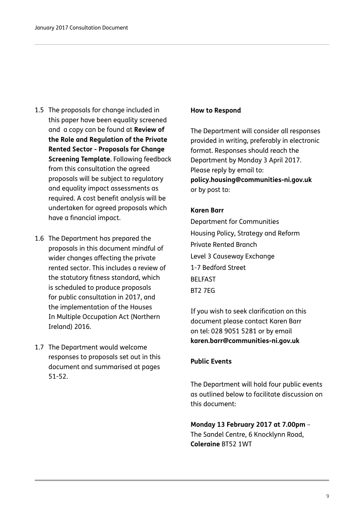- 1.5 The proposals for change included in this paper have been equality screened and a copy can be found at **[Review of](https://www.communities-ni.gov.uk/publications/review-role-and-regulation-private-rented-sector-proposals-change-screening)  [the Role and Regulation of the Private](https://www.communities-ni.gov.uk/publications/review-role-and-regulation-private-rented-sector-proposals-change-screening)  [Rented Sector - Proposals for Change](https://www.communities-ni.gov.uk/publications/review-role-and-regulation-private-rented-sector-proposals-change-screening)  [Screening Template](https://www.communities-ni.gov.uk/publications/review-role-and-regulation-private-rented-sector-proposals-change-screening)**. Following feedback from this consultation the agreed proposals will be subject to regulatory and equality impact assessments as required. A cost benefit analysis will be undertaken for agreed proposals which have a financial impact.
- 1.6 The Department has prepared the proposals in this document mindful of wider changes affecting the private rented sector. This includes a review of the statutory fitness standard, which is scheduled to produce proposals for public consultation in 2017, and the implementation of the Houses In Multiple Occupation Act (Northern Ireland) 2016.
- 1.7 The Department would welcome responses to proposals set out in this document and summarised at pages 51-52.

### **How to Respond**

The Department will consider all responses provided in writing, preferably in electronic format. Responses should reach the Department by Monday 3 April 2017. Please reply by email to: **policy.housing@communities-ni.gov.uk** or by post to:

### **Karen Barr**

Department for Communities Housing Policy, Strategy and Reform Private Rented Branch Level 3 Causeway Exchange 1-7 Bedford Street **BELFAST** BT2 7EG

If you wish to seek clarification on this document please contact Karen Barr on tel: 028 9051 5281 or by email **karen.barr@communities-ni.gov.uk**

### **Public Events**

The Department will hold four public events as outlined below to facilitate discussion on this document:

**Monday 13 February 2017 at 7.00pm** – The Sandel Centre, 6 Knocklynn Road, **Coleraine** BT52 1WT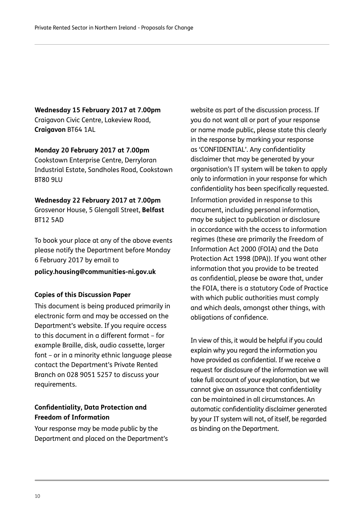**Wednesday 15 February 2017 at 7.00pm** Craigavon Civic Centre, Lakeview Road, **Craigavon** BT64 1AL

**Monday 20 February 2017 at 7.00pm** Cookstown Enterprise Centre, Derryloran Industrial Estate, Sandholes Road, Cookstown BT80 9LU

**Wednesday 22 February 2017 at 7.00pm** Grosvenor House, 5 Glengall Street, **Belfast**  BT12 5AD

To book your place at any of the above events please notify the Department before Monday 6 February 2017 by email to

**policy.housing@communities-ni.gov.uk**

### **Copies of this Discussion Paper**

This document is being produced primarily in electronic form and may be accessed on the Department's website. If you require access to this document in a different format – for example Braille, disk, audio cassette, larger font – or in a minority ethnic language please contact the Department's Private Rented Branch on 028 9051 5257 to discuss your requirements.

### **Confidentiality, Data Protection and Freedom of Information**

Your response may be made public by the Department and placed on the Department's website as part of the discussion process. If you do not want all or part of your response or name made public, please state this clearly in the response by marking your response as 'CONFIDENTIAL'. Any confidentiality disclaimer that may be generated by your organisation's IT system will be taken to apply only to information in your response for which confidentiality has been specifically requested.

Information provided in response to this document, including personal information, may be subject to publication or disclosure in accordance with the access to information regimes (these are primarily the Freedom of Information Act 2000 (FOIA) and the Data Protection Act 1998 (DPA)). If you want other information that you provide to be treated as confidential, please be aware that, under the FOIA, there is a statutory Code of Practice with which public authorities must comply and which deals, amongst other things, with obligations of confidence.

In view of this, it would be helpful if you could explain why you regard the information you have provided as confidential. If we receive a request for disclosure of the information we will take full account of your explanation, but we cannot give an assurance that confidentiality can be maintained in all circumstances. An automatic confidentiality disclaimer generated by your IT system will not, of itself, be regarded as binding on the Department.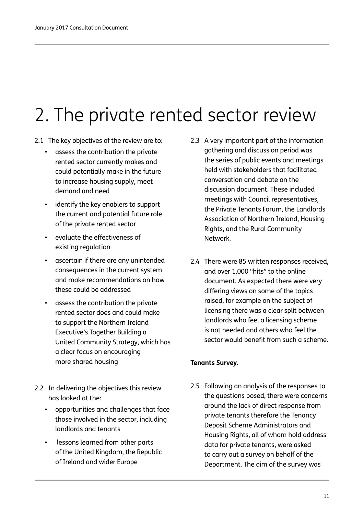# 2. The private rented sector review

- 2.1 The key objectives of the review are to:
	- assess the contribution the private rented sector currently makes and could potentially make in the future to increase housing supply, meet demand and need
	- identify the key enablers to support the current and potential future role of the private rented sector
	- evaluate the effectiveness of existing regulation
	- ascertain if there are any unintended consequences in the current system and make recommendations on how these could be addressed
	- assess the contribution the private rented sector does and could make to support the Northern Ireland Executive's Together Building a United Community Strategy, which has a clear focus on encouraging more shared housing
- 2.2 In delivering the objectives this review has looked at the:
	- opportunities and challenges that face those involved in the sector, including landlords and tenants
	- lessons learned from other parts of the United Kingdom, the Republic of Ireland and wider Europe
- 2.3 A very important part of the information gathering and discussion period was the series of public events and meetings held with stakeholders that facilitated conversation and debate on the discussion document. These included meetings with Council representatives, the Private Tenants Forum, the Landlords Association of Northern Ireland, Housing Rights, and the Rural Community Network.
- 2.4 There were 85 written responses received, and over 1,000 "hits" to the online document. As expected there were very differing views on some of the topics raised, for example on the subject of licensing there was a clear split between landlords who feel a licensing scheme is not needed and others who feel the sector would benefit from such a scheme.

### **Tenants Survey.**

2.5 Following an analysis of the responses to the questions posed, there were concerns around the lack of direct response from private tenants therefore the Tenancy Deposit Scheme Administrators and Housing Rights, all of whom hold address data for private tenants, were asked to carry out a survey on behalf of the Department. The aim of the survey was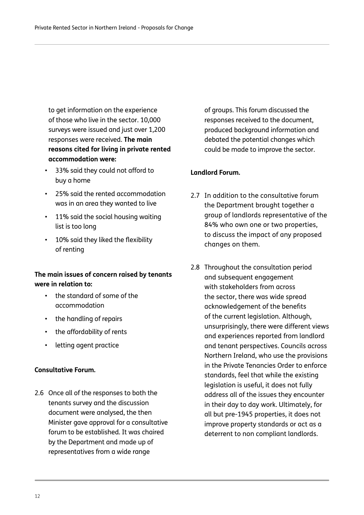to get information on the experience of those who live in the sector. 10,000 surveys were issued and just over 1,200 responses were received. **The main reasons cited for living in private rented accommodation were:**

- 33% said they could not afford to buy a home
- 25% said the rented accommodation was in an area they wanted to live
- 11% said the social housing waiting list is too long
- 10% said they liked the flexibility of renting

### **The main issues of concern raised by tenants were in relation to:**

- the standard of some of the accommodation
- the handling of repairs
- the affordability of rents
- letting agent practice

### **Consultative Forum.**

2.6 Once all of the responses to both the tenants survey and the discussion document were analysed, the then Minister gave approval for a consultative forum to be established. It was chaired by the Department and made up of representatives from a wide range

of groups. This forum discussed the responses received to the document, produced background information and debated the potential changes which could be made to improve the sector.

### **Landlord Forum.**

- 2.7 In addition to the consultative forum the Department brought together a group of landlords representative of the 84% who own one or two properties, to discuss the impact of any proposed changes on them.
- 2.8 Throughout the consultation period and subsequent engagement with stakeholders from across the sector, there was wide spread acknowledgement of the benefits of the current legislation. Although, unsurprisingly, there were different views and experiences reported from landlord and tenant perspectives. Councils across Northern Ireland, who use the provisions in the Private Tenancies Order to enforce standards, feel that while the existing legislation is useful, it does not fully address all of the issues they encounter in their day to day work. Ultimately, for all but pre-1945 properties, it does not improve property standards or act as a deterrent to non compliant landlords.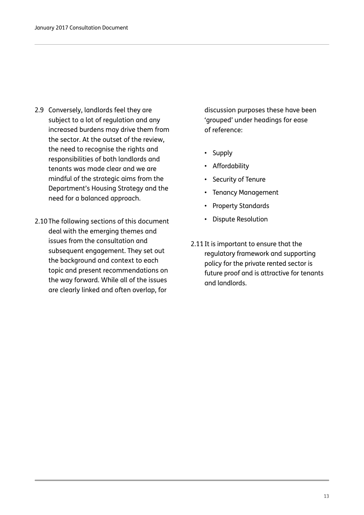- 2.9 Conversely, landlords feel they are subject to a lot of regulation and any increased burdens may drive them from the sector. At the outset of the review, the need to recognise the rights and responsibilities of both landlords and tenants was made clear and we are mindful of the strategic aims from the Department's Housing Strategy and the need for a balanced approach.
- 2.10The following sections of this document deal with the emerging themes and issues from the consultation and subsequent engagement. They set out the background and context to each topic and present recommendations on the way forward. While all of the issues are clearly linked and often overlap, for

discussion purposes these have been 'grouped' under headings for ease of reference:

- Supply
- Affordability
- Security of Tenure
- Tenancy Management
- Property Standards
- Dispute Resolution
- 2.11It is important to ensure that the regulatory framework and supporting policy for the private rented sector is future proof and is attractive for tenants and landlords.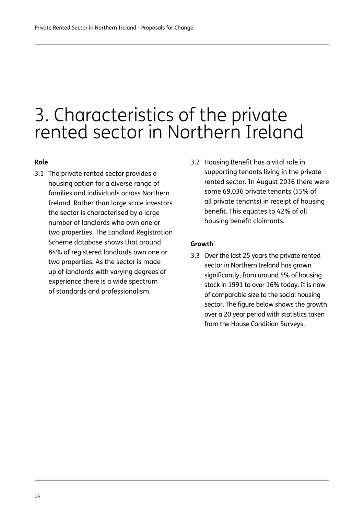### 3. Characteristics of the private rented sector in Northern Ireland

#### **Role**

- 3.1 The private rented sector provides a housing option for a diverse range of families and individuals across Northern Ireland. Rather than large scale investors the sector is characterised by a large number of landlords who own one or two properties. The Landlord Registration Scheme database shows that around 84% of registered landlords own one or two properties. As the sector is made up of landlords with varying degrees of experience there is a wide spectrum of standards and professionalism.
- 3.2 Housing Benefit has a vital role in supporting tenants living in the private rented sector. In August 2016 there were some 69,036 private tenants (55% of all private tenants) in receipt of housing benefit. This equates to 42% of all housing benefit claimants.

#### **Growth**

3.3 Over the last 25 years the private rented sector in Northern Ireland has grown significantly, from around 5% of housing stock in 1991 to over 16% today. It is now of comparable size to the social housing sector. The figure below shows the growth over a 20 year period with statistics taken from the House Condition Surveys.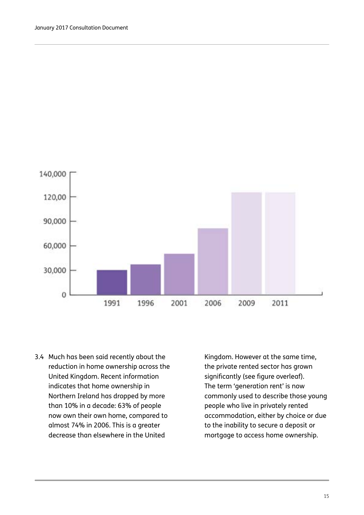

3.4 Much has been said recently about the reduction in home ownership across the United Kingdom. Recent information indicates that home ownership in Northern Ireland has dropped by more than 10% in a decade: 63% of people now own their own home, compared to almost 74% in 2006. This is a greater decrease than elsewhere in the United

Kingdom. However at the same time, the private rented sector has grown significantly (see figure overleaf). The term 'generation rent' is now commonly used to describe those young people who live in privately rented accommodation, either by choice or due to the inability to secure a deposit or mortgage to access home ownership.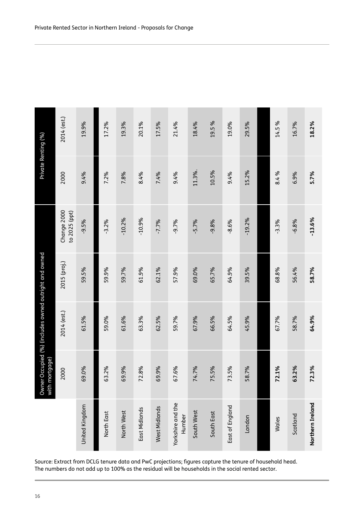| Private Renting (%)                                                                                                                                                                                           | 2014 (est.)                  | 19.9%          | 17.2%      | 19.3%      | 20.1%         | 17.5%         | 21.4%                       | 18.4%      | 19.5%      | 19.0%           | 29.5%    |  | 14.5%   | 16.7%    | 18.2%            |
|---------------------------------------------------------------------------------------------------------------------------------------------------------------------------------------------------------------|------------------------------|----------------|------------|------------|---------------|---------------|-----------------------------|------------|------------|-----------------|----------|--|---------|----------|------------------|
|                                                                                                                                                                                                               | 2000                         | 9.4%           | 7.2%       | 7.8%       | 8.4%          | 7.4%          | 9.4%                        | 11.3%.     | 10.5%      | 9.4%            | 15.2%    |  | 8.4%    | 6.9%     | 5.7%             |
| r Occupied (%) (includes owned outright and owned<br>nortgage)<br>Owner                                                                                                                                       | Change 2000<br>to 2025 (ppt) | $-9.5%$        | $-3.2%$    | $-10.2%$   | $-10.9%$      | $-7.7%$       | $-9.7%$                     | $-5.7%$    | $-9.8%$    | $-8.6%$         | $-19.2%$ |  | $-3.3%$ | $-6.8%$  | $-13.6%$         |
|                                                                                                                                                                                                               | 2015 (proj.)                 | 59.5%          | 59.9%      | 59.7%      | 61.9%         | 62.1%         | 57.9%                       | 69.0%      | 65.7%      | 64.9%           | 39.5%    |  | 68.8%   | 56.4%    | 58.7%            |
|                                                                                                                                                                                                               | 2014 (est.)                  | 61.5%          | 59.0%      | 61.6%      | 63.3%         | 62.5%         | 59.7%                       | 67.9%      | 66.5%      | 64.5%           | 45.9%    |  | 67.7%   | 58.7%    | 64.9%            |
|                                                                                                                                                                                                               | 2000                         | 69.0%          | 63.2%      | 69.9%      | 72.8%         | 69.9%         | 67.6%                       | 74.7%      | 75.5%      | 73.5%           | 58.7%    |  | 72.1%   | 63.2%    | 72.3%            |
|                                                                                                                                                                                                               |                              | United Kingdom | North East | North West | East Midlands | West Midlands | Yorkshire and the<br>Humber | South West | South East | East of England | London   |  | Wales   | Scotland | Northern Ireland |
| Source: Extract from DCLG tenure data and PwC projections; figures capture the tenure of household head.<br>The numbers do not add up to 100% as the residual will be households in the social rented sector. |                              |                |            |            |               |               |                             |            |            |                 |          |  |         |          |                  |
| 16                                                                                                                                                                                                            |                              |                |            |            |               |               |                             |            |            |                 |          |  |         |          |                  |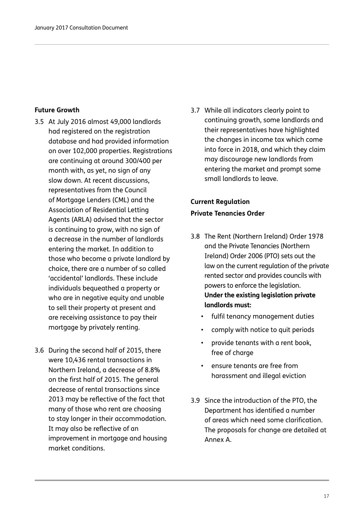#### **Future Growth**

- 3.5 At July 2016 almost 49,000 landlords had registered on the registration database and had provided information on over 102,000 properties. Registrations are continuing at around 300/400 per month with, as yet, no sign of any slow down. At recent discussions, representatives from the Council of Mortgage Lenders (CML) and the Association of Residential Letting Agents (ARLA) advised that the sector is continuing to grow, with no sign of a decrease in the number of landlords entering the market. In addition to those who become a private landlord by choice, there are a number of so called 'accidental' landlords. These include individuals bequeathed a property or who are in negative equity and unable to sell their property at present and are receiving assistance to pay their mortgage by privately renting.
- 3.6 During the second half of 2015, there were 10,436 rental transactions in Northern Ireland, a decrease of 8.8% on the first half of 2015. The general decrease of rental transactions since 2013 may be reflective of the fact that many of those who rent are choosing to stay longer in their accommodation. It may also be reflective of an improvement in mortgage and housing market conditions.

3.7 While all indicators clearly point to continuing growth, some landlords and their representatives have highlighted the changes in income tax which come into force in 2018, and which they claim may discourage new landlords from entering the market and prompt some small landlords to leave.

### **Current Regulation Private Tenancies Order**

- 3.8 The Rent (Northern Ireland) Order 1978 and the Private Tenancies (Northern Ireland) Order 2006 (PTO) sets out the law on the current regulation of the private rented sector and provides councils with powers to enforce the legislation. **Under the existing legislation private landlords must:**
	- fulfil tenancy management duties
	- comply with notice to quit periods
	- provide tenants with a rent book, free of charge
	- ensure tenants are free from harassment and illegal eviction
- 3.9 Since the introduction of the PTO, the Department has identified a number of areas which need some clarification. The proposals for change are detailed at Annex A.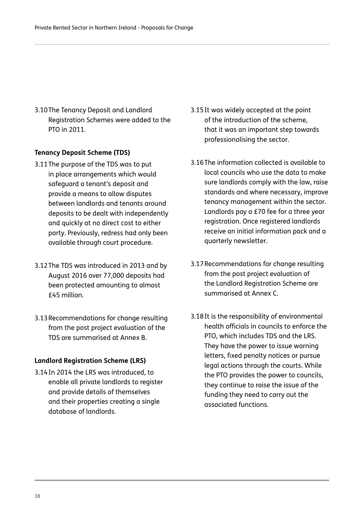3.10The Tenancy Deposit and Landlord Registration Schemes were added to the PTO in 2011.

### **Tenancy Deposit Scheme (TDS)**

- 3.11The purpose of the TDS was to put in place arrangements which would safeguard a tenant's deposit and provide a means to allow disputes between landlords and tenants around deposits to be dealt with independently and quickly at no direct cost to either party. Previously, redress had only been available through court procedure.
- 3.12The TDS was introduced in 2013 and by August 2016 over 77,000 deposits had been protected amounting to almost £45 million.
- 3.13Recommendations for change resulting from the post project evaluation of the TDS are summarised at Annex B.

#### **Landlord Registration Scheme (LRS)**

3.14In 2014 the LRS was introduced, to enable all private landlords to register and provide details of themselves and their properties creating a single database of landlords.

- 3.15It was widely accepted at the point of the introduction of the scheme, that it was an important step towards professionalising the sector.
- 3.16The information collected is available to local councils who use the data to make sure landlords comply with the law, raise standards and where necessary, improve tenancy management within the sector. Landlords pay a £70 fee for a three year registration. Once registered landlords receive an initial information pack and a quarterly newsletter.
- 3.17Recommendations for change resulting from the post project evaluation of the Landlord Registration Scheme are summarised at Annex C.
- 3.18It is the responsibility of environmental health officials in councils to enforce the PTO, which includes TDS and the LRS. They have the power to issue warning letters, fixed penalty notices or pursue legal actions through the courts. While the PTO provides the power to councils, they continue to raise the issue of the funding they need to carry out the associated functions.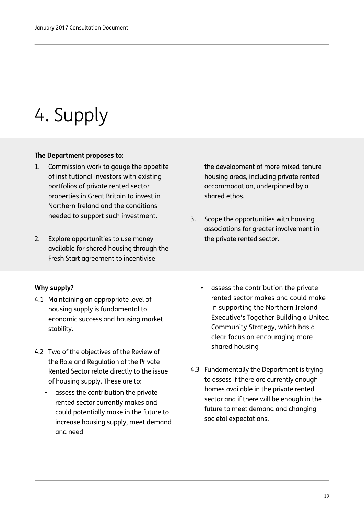### 4. Supply

### **The Department proposes to:**

- 1. Commission work to gauge the appetite of institutional investors with existing portfolios of private rented sector properties in Great Britain to invest in Northern Ireland and the conditions needed to support such investment.
- 2. Explore opportunities to use money available for shared housing through the Fresh Start agreement to incentivise

### **Why supply?**

- 4.1 Maintaining an appropriate level of housing supply is fundamental to economic success and housing market stability.
- 4.2 Two of the objectives of the Review of the Role and Regulation of the Private Rented Sector relate directly to the issue of housing supply. These are to:
	- assess the contribution the private rented sector currently makes and could potentially make in the future to increase housing supply, meet demand and need

• assess the contribution the private rented sector makes and could make in supporting the Northern Ireland Executive's Together Building a United Community Strategy, which has a clear focus on encouraging more shared housing

4.3 Fundamentally the Department is trying to assess if there are currently enough homes available in the private rented sector and if there will be enough in the future to meet demand and changing societal expectations.

the development of more mixed-tenure housing areas, including private rented accommodation, underpinned by a shared ethos.

3. Scope the opportunities with housing associations for greater involvement in the private rented sector.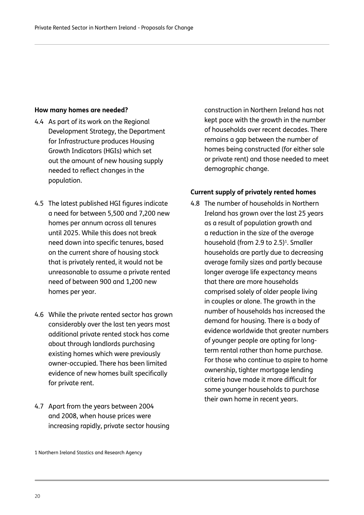### **How many homes are needed?**

- 4.4 As part of its work on the Regional Development Strategy, the Department for Infrastructure produces Housing Growth Indicators (HGIs) which set out the amount of new housing supply needed to reflect changes in the population.
- 4.5 The latest published HGI figures indicate a need for between 5,500 and 7,200 new homes per annum across all tenures until 2025. While this does not break need down into specific tenures, based on the current share of housing stock that is privately rented, it would not be unreasonable to assume a private rented need of between 900 and 1,200 new homes per year.
- 4.6 While the private rented sector has grown considerably over the last ten years most additional private rented stock has come about through landlords purchasing existing homes which were previously owner-occupied. There has been limited evidence of new homes built specifically for private rent.
- 4.7 Apart from the years between 2004 and 2008, when house prices were increasing rapidly, private sector housing

construction in Northern Ireland has not kept pace with the growth in the number of households over recent decades. There remains a gap between the number of homes being constructed (for either sale or private rent) and those needed to meet demographic change.

### **Current supply of privately rented homes**

4.8 The number of households in Northern Ireland has grown over the last 25 years as a result of population growth and a reduction in the size of the average household (from 2.9 to 2.5)<sup>1</sup>. Smaller households are partly due to decreasing average family sizes and partly because longer average life expectancy means that there are more households comprised solely of older people living in couples or alone. The growth in the number of households has increased the demand for housing. There is a body of evidence worldwide that greater numbers of younger people are opting for longterm rental rather than home purchase. For those who continue to aspire to home ownership, tighter mortgage lending criteria have made it more difficult for some younger households to purchase their own home in recent years.

1 Northern Ireland Stastics and Research Agency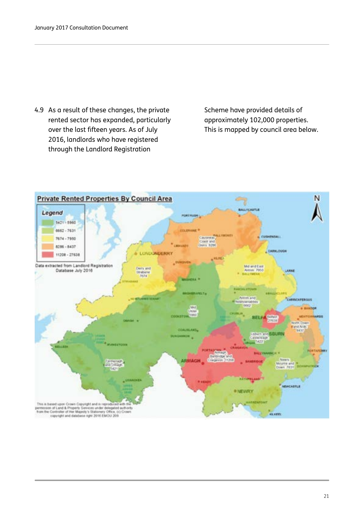4.9 As a result of these changes, the private rented sector has expanded, particularly over the last fifteen years. As of July 2016, landlords who have registered through the Landlord Registration

Scheme have provided details of approximately 102,000 properties. This is mapped by council area below.

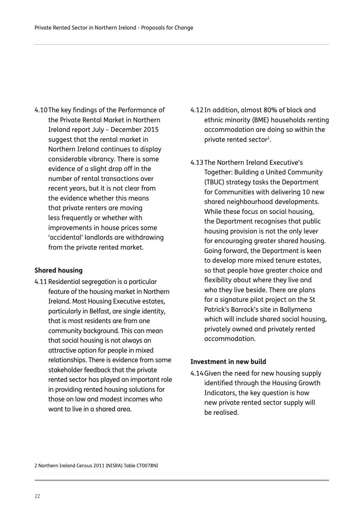4.10The key findings of the Performance of the Private Rental Market in Northern Ireland report July – December 2015 suggest that the rental market in Northern Ireland continues to display considerable vibrancy. There is some evidence of a slight drop off in the number of rental transactions over recent years, but it is not clear from the evidence whether this means that private renters are moving less frequently or whether with improvements in house prices some 'accidental' landlords are withdrawing from the private rented market.

### **Shared housing**

4.11 Residential segregation is a particular feature of the housing market in Northern Ireland. Most Housing Executive estates, particularly in Belfast, are single identity, that is most residents are from one community background. This can mean that social housing is not always an attractive option for people in mixed relationships. There is evidence from some stakeholder feedback that the private rented sector has played an important role in providing rented housing solutions for those on low and modest incomes who want to live in a shared area.

- 4.12In addition, almost 80% of black and ethnic minority (BME) households renting accommodation are doing so within the private rented sector<sup>2</sup>.
- 4.13The Northern Ireland Executive's Together: Building a United Community (TBUC) strategy tasks the Department for Communities with delivering 10 new shared neighbourhood developments. While these focus on social housing, the Department recognises that public housing provision is not the only lever for encouraging greater shared housing. Going forward, the Department is keen to develop more mixed tenure estates, so that people have greater choice and flexibility about where they live and who they live beside. There are plans for a signature pilot project on the St Patrick's Barrack's site in Ballymena which will include shared social housing, privately owned and privately rented accommodation.

#### **Investment in new build**

4.14Given the need for new housing supply identified through the Housing Growth Indicators, the key question is how new private rented sector supply will be realised.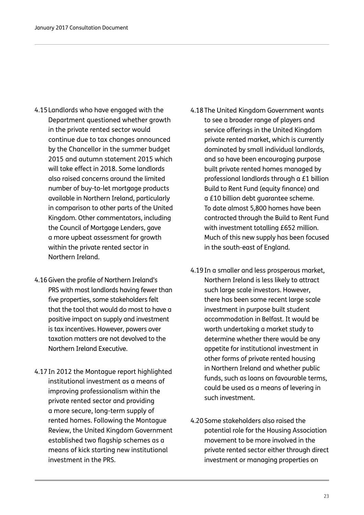- 4.15Landlords who have engaged with the Department questioned whether growth in the private rented sector would continue due to tax changes announced by the Chancellor in the summer budget 2015 and autumn statement 2015 which will take effect in 2018. Some landlords also raised concerns around the limited number of buy-to-let mortgage products available in Northern Ireland, particularly in comparison to other parts of the United Kingdom. Other commentators, including the Council of Mortgage Lenders, gave a more upbeat assessment for growth within the private rented sector in Northern Ireland.
- 4.16Given the profile of Northern Ireland's PRS with most landlords having fewer than five properties, some stakeholders felt that the tool that would do most to have a positive impact on supply and investment is tax incentives. However, powers over taxation matters are not devolved to the Northern Ireland Executive.
- 4.17In 2012 the Montague report highlighted institutional investment as a means of improving professionalism within the private rented sector and providing a more secure, long-term supply of rented homes. Following the Montague Review, the United Kingdom Government established two flagship schemes as a means of kick starting new institutional investment in the PRS.
- 4.18The United Kingdom Government wants to see a broader range of players and service offerings in the United Kingdom private rented market, which is currently dominated by small individual landlords, and so have been encouraging purpose built private rented homes managed by professional landlords through a £1 billion Build to Rent Fund (equity finance) and a £10 billion debt guarantee scheme. To date almost 5,800 homes have been contracted through the Build to Rent Fund with investment totalling £652 million. Much of this new supply has been focused in the south-east of England.
- 4.19In a smaller and less prosperous market, Northern Ireland is less likely to attract such large scale investors. However, there has been some recent large scale investment in purpose built student accommodation in Belfast. It would be worth undertaking a market study to determine whether there would be any appetite for institutional investment in other forms of private rented housing in Northern Ireland and whether public funds, such as loans on favourable terms, could be used as a means of levering in such investment.
- 4.20Some stakeholders also raised the potential role for the Housing Association movement to be more involved in the private rented sector either through direct investment or managing properties on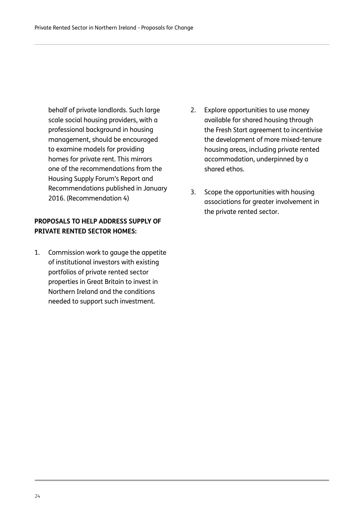behalf of private landlords. Such large scale social housing providers, with a professional background in housing management, should be encouraged to examine models for providing homes for private rent. This mirrors one of the recommendations from the Housing Supply Forum's Report and Recommendations published in January 2016. (Recommendation 4)

### **PROPOSALS TO HELP ADDRESS SUPPLY OF PRIVATE RENTED SECTOR HOMES:**

1. Commission work to gauge the appetite of institutional investors with existing portfolios of private rented sector properties in Great Britain to invest in Northern Ireland and the conditions needed to support such investment.

- 2. Explore opportunities to use money available for shared housing through the Fresh Start agreement to incentivise the development of more mixed-tenure housing areas, including private rented accommodation, underpinned by a shared ethos.
- 3. Scope the opportunities with housing associations for greater involvement in the private rented sector.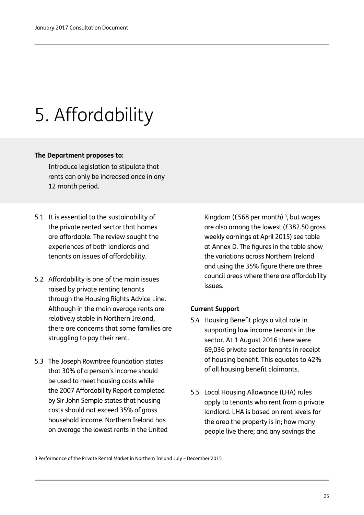## 5. Affordability

### **The Department proposes to:**

Introduce legislation to stipulate that rents can only be increased once in any 12 month period.

- 5.1 It is essential to the sustainability of the private rented sector that homes are affordable. The review sought the experiences of both landlords and tenants on issues of affordability.
- 5.2 Affordability is one of the main issues raised by private renting tenants through the Housing Rights Advice Line. Although in the main average rents are relatively stable in Northern Ireland, there are concerns that some families are struggling to pay their rent.
- 5.3 The Joseph Rowntree foundation states that 30% of a person's income should be used to meet housing costs while the 2007 Affordability Report completed by Sir John Semple states that housing costs should not exceed 35% of gross household income. Northern Ireland has on average the lowest rents in the United

Kingdom (£568 per month)<sup>3</sup>, but wages are also among the lowest (£382.50 gross weekly earnings at April 2015) see table at Annex D. The figures in the table show the variations across Northern Ireland and using the 35% figure there are three council areas where there are affordability issues.

### **Current Support**

- 5.4 Housing Benefit plays a vital role in supporting low income tenants in the sector. At 1 August 2016 there were 69,036 private sector tenants in receipt of housing benefit. This equates to 42% of all housing benefit claimants.
- 5.5 Local Housing Allowance (LHA) rules apply to tenants who rent from a private landlord. LHA is based on rent levels for the area the property is in; how many people live there; and any savings the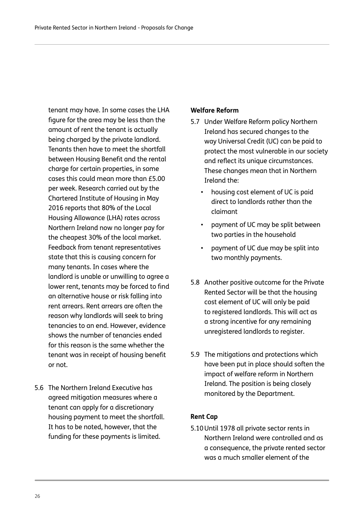tenant may have. In some cases the LHA figure for the area may be less than the amount of rent the tenant is actually being charged by the private landlord. Tenants then have to meet the shortfall between Housing Benefit and the rental charge for certain properties, in some cases this could mean more than £5.00 per week. Research carried out by the Chartered Institute of Housing in May 2016 reports that 80% of the Local Housing Allowance (LHA) rates across Northern Ireland now no longer pay for the cheapest 30% of the local market. Feedback from tenant representatives state that this is causing concern for many tenants. In cases where the landlord is unable or unwilling to agree a lower rent, tenants may be forced to find an alternative house or risk falling into rent arrears. Rent arrears are often the reason why landlords will seek to bring tenancies to an end. However, evidence shows the number of tenancies ended for this reason is the same whether the tenant was in receipt of housing benefit or not.

5.6 The Northern Ireland Executive has agreed mitigation measures where a tenant can apply for a discretionary housing payment to meet the shortfall. It has to be noted, however, that the funding for these payments is limited.

### **Welfare Reform**

- 5.7 Under Welfare Reform policy Northern Ireland has secured changes to the way Universal Credit (UC) can be paid to protect the most vulnerable in our society and reflect its unique circumstances. These changes mean that in Northern Ireland the:
	- housing cost element of UC is paid direct to landlords rather than the claimant
	- payment of UC may be split between two parties in the household
	- payment of UC due may be split into two monthly payments.
- 5.8 Another positive outcome for the Private Rented Sector will be that the housing cost element of UC will only be paid to registered landlords. This will act as a strong incentive for any remaining unregistered landlords to register.
- 5.9 The mitigations and protections which have been put in place should soften the impact of welfare reform in Northern Ireland. The position is being closely monitored by the Department.

### **Rent Cap**

5.10Until 1978 all private sector rents in Northern Ireland were controlled and as a consequence, the private rented sector was a much smaller element of the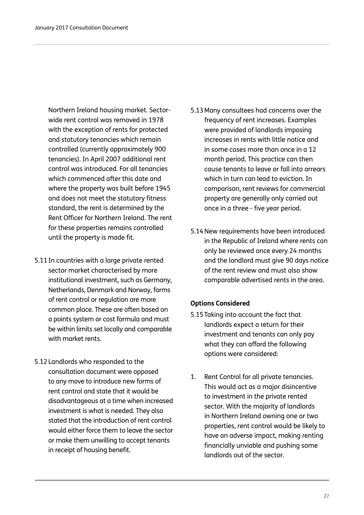Northern Ireland housing market. Sectorwide rent control was removed in 1978 with the exception of rents for protected and statutory tenancies which remain controlled (currently approximately 900 tenancies). In April 2007 additional rent control was introduced. For all tenancies which commenced after this date and where the property was built before 1945 and does not meet the statutory fitness standard, the rent is determined by the Rent Officer for Northern Ireland. The rent for these properties remains controlled until the property is made fit.

- 5.11In countries with a large private rented sector market characterised by more institutional investment, such as Germany, Netherlands, Denmark and Norway, forms of rent control or regulation are more common place. These are often based on a points system or cost formula and must be within limits set locally and comparable with market rents.
- 5.12Landlords who responded to the consultation document were opposed to any move to introduce new forms of rent control and state that it would be disadvantageous at a time when increased investment is what is needed. They also stated that the introduction of rent control would either force them to leave the sector or make them unwilling to accept tenants in receipt of housing benefit.
- 5.13Many consultees had concerns over the frequency of rent increases. Examples were provided of landlords imposing increases in rents with little notice and in some cases more than once in a 12 month period. This practice can then cause tenants to leave or fall into arrears which in turn can lead to eviction. In comparison, rent reviews for commercial property are generally only carried out once in a three - five year period.
- 5.14New requirements have been introduced in the Republic of Ireland where rents can only be reviewed once every 24 months and the landlord must give 90 days notice of the rent review and must also show comparable advertised rents in the area.

### **Options Considered**

- 5.15Taking into account the fact that landlords expect a return for their investment and tenants can only pay what they can afford the following options were considered:
- 1. Rent Control for all private tenancies. This would act as a major disincentive to investment in the private rented sector. With the majority of landlords in Northern Ireland owning one or two properties, rent control would be likely to have an adverse impact, making renting financially unviable and pushing some landlords out of the sector.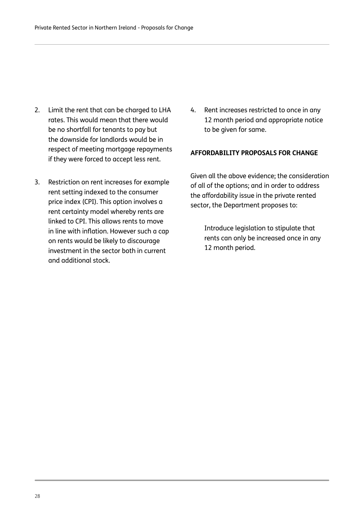- 2. Limit the rent that can be charged to LHA rates. This would mean that there would be no shortfall for tenants to pay but the downside for landlords would be in respect of meeting mortgage repayments if they were forced to accept less rent.
- 3. Restriction on rent increases for example rent setting indexed to the consumer price index (CPI). This option involves a rent certainty model whereby rents are linked to CPI. This allows rents to move in line with inflation. However such a cap on rents would be likely to discourage investment in the sector both in current and additional stock.
- 4. Rent increases restricted to once in any 12 month period and appropriate notice to be given for same.

#### **AFFORDABILITY PROPOSALS FOR CHANGE**

Given all the above evidence; the consideration of all of the options; and in order to address the affordability issue in the private rented sector, the Department proposes to:

Introduce legislation to stipulate that rents can only be increased once in any 12 month period.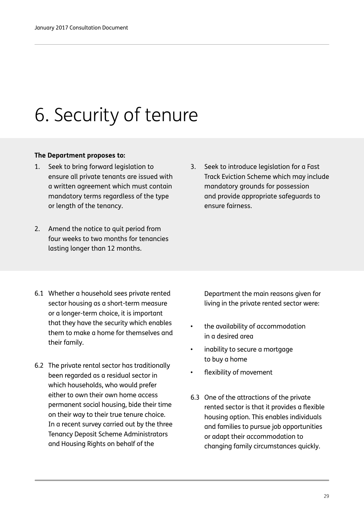# 6. Security of tenure

### **The Department proposes to:**

- 1. Seek to bring forward legislation to ensure all private tenants are issued with a written agreement which must contain mandatory terms regardless of the type or length of the tenancy.
- 2. Amend the notice to quit period from four weeks to two months for tenancies lasting longer than 12 months.
- 3. Seek to introduce legislation for a Fast Track Eviction Scheme which may include mandatory grounds for possession and provide appropriate safeguards to ensure fairness.

- 6.1 Whether a household sees private rented sector housing as a short-term measure or a longer-term choice, it is important that they have the security which enables them to make a home for themselves and their family.
- 6.2 The private rental sector has traditionally been regarded as a residual sector in which households, who would prefer either to own their own home access permanent social housing, bide their time on their way to their true tenure choice. In a recent survey carried out by the three Tenancy Deposit Scheme Administrators and Housing Rights on behalf of the

Department the main reasons given for living in the private rented sector were:

- the availability of accommodation in a desired area
- inability to secure a mortgage to buy a home
- flexibility of movement
- 6.3 One of the attractions of the private rented sector is that it provides a flexible housing option. This enables individuals and families to pursue job opportunities or adapt their accommodation to changing family circumstances quickly.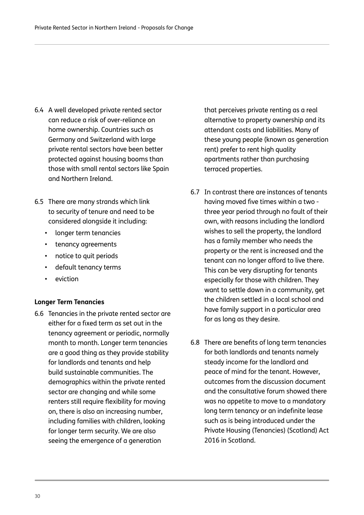- 6.4 A well developed private rented sector can reduce a risk of over-reliance on home ownership. Countries such as Germany and Switzerland with large private rental sectors have been better protected against housing booms than those with small rental sectors like Spain and Northern Ireland.
- 6.5 There are many strands which link to security of tenure and need to be considered alongside it including:
	- longer term tenancies
	- tenancy agreements
	- notice to quit periods
	- default tenancy terms
	- eviction

### **Longer Term Tenancies**

6.6 Tenancies in the private rented sector are either for a fixed term as set out in the tenancy agreement or periodic, normally month to month. Longer term tenancies are a good thing as they provide stability for landlords and tenants and help build sustainable communities. The demographics within the private rented sector are changing and while some renters still require flexibility for moving on, there is also an increasing number, including families with children, looking for longer term security. We are also seeing the emergence of a generation

that perceives private renting as a real alternative to property ownership and its attendant costs and liabilities. Many of these young people (known as generation rent) prefer to rent high quality apartments rather than purchasing terraced properties.

- 6.7 In contrast there are instances of tenants having moved five times within a two three year period through no fault of their own, with reasons including the landlord wishes to sell the property, the landlord has a family member who needs the property or the rent is increased and the tenant can no longer afford to live there. This can be very disrupting for tenants especially for those with children. They want to settle down in a community, get the children settled in a local school and have family support in a particular area for as long as they desire.
- 6.8 There are benefits of long term tenancies for both landlords and tenants namely steady income for the landlord and peace of mind for the tenant. However, outcomes from the discussion document and the consultative forum showed there was no appetite to move to a mandatory long term tenancy or an indefinite lease such as is being introduced under the Private Housing (Tenancies) (Scotland) Act 2016 in Scotland.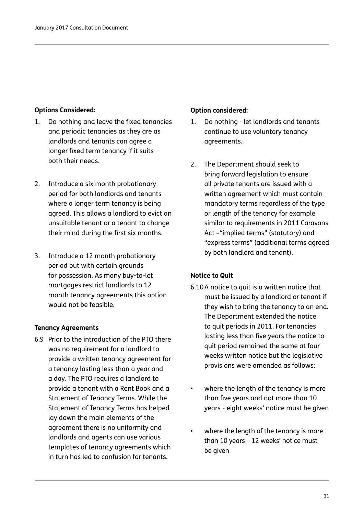### **Options Considered:**

- 1. Do nothing and leave the fixed tenancies and periodic tenancies as they are as landlords and tenants can agree a longer fixed term tenancy if it suits both their needs.
- 2. Introduce a six month probationary period for both landlords and tenants where a longer term tenancy is being agreed. This allows a landlord to evict an unsuitable tenant or a tenant to change their mind during the first six months.
- 3. Introduce a 12 month probationary period but with certain grounds for possession. As many buy-to-let mortgages restrict landlords to 12 month tenancy agreements this option would not be feasible.

### **Tenancy Agreements**

6.9 Prior to the introduction of the PTO there was no requirement for a landlord to provide a written tenancy agreement for a tenancy lasting less than a year and a day. The PTO requires a landlord to provide a tenant with a Rent Book and a Statement of Tenancy Terms. While the Statement of Tenancy Terms has helped lay down the main elements of the agreement there is no uniformity and landlords and agents can use various templates of tenancy agreements which in turn has led to confusion for tenants.

### **Option considered:**

- 1. Do nothing let landlords and tenants continue to use voluntary tenancy agreements.
- 2. The Department should seek to bring forward legislation to ensure all private tenants are issued with a written agreement which must contain mandatory terms regardless of the type or length of the tenancy for example similar to requirements in 2011 Caravans Act –"implied terms" (statutory) and "express terms" (additional terms agreed by both landlord and tenant).

### **Notice to Quit**

- 6.10A notice to quit is a written notice that must be issued by a landlord or tenant if they wish to bring the tenancy to an end. The Department extended the notice to quit periods in 2011. For tenancies lasting less than five years the notice to quit period remained the same at four weeks written notice but the legislative provisions were amended as follows:
- where the length of the tenancy is more than five years and not more than 10 years - eight weeks' notice must be given
- where the length of the tenancy is more than 10 years – 12 weeks' notice must be given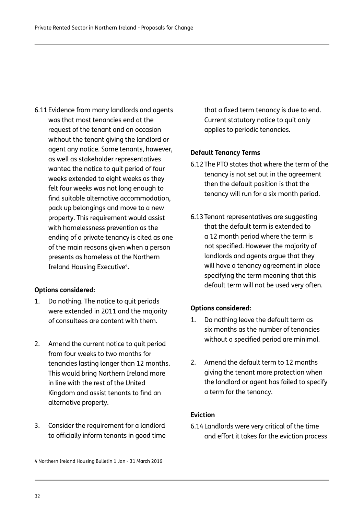6.11Evidence from many landlords and agents was that most tenancies end at the request of the tenant and on occasion without the tenant giving the landlord or agent any notice. Some tenants, however, as well as stakeholder representatives wanted the notice to quit period of four weeks extended to eight weeks as they felt four weeks was not long enough to find suitable alternative accommodation, pack up belongings and move to a new property. This requirement would assist with homelessness prevention as the ending of a private tenancy is cited as one of the main reasons given when a person presents as homeless at the Northern Ireland Housing Executive<sup>4</sup>.

### **Options considered:**

- 1. Do nothing. The notice to quit periods were extended in 2011 and the majority of consultees are content with them.
- 2. Amend the current notice to quit period from four weeks to two months for tenancies lasting longer than 12 months. This would bring Northern Ireland more in line with the rest of the United Kingdom and assist tenants to find an alternative property.
- 3. Consider the requirement for a landlord to officially inform tenants in good time

that a fixed term tenancy is due to end. Current statutory notice to quit only applies to periodic tenancies.

### **Default Tenancy Terms**

- 6.12The PTO states that where the term of the tenancy is not set out in the agreement then the default position is that the tenancy will run for a six month period.
- 6.13Tenant representatives are suggesting that the default term is extended to a 12 month period where the term is not specified. However the majority of landlords and agents argue that they will have a tenancy agreement in place specifying the term meaning that this default term will not be used very often.

### **Options considered:**

- 1. Do nothing leave the default term as six months as the number of tenancies without a specified period are minimal.
- 2. Amend the default term to 12 months giving the tenant more protection when the landlord or agent has failed to specify a term for the tenancy.

### **Eviction**

6.14Landlords were very critical of the time and effort it takes for the eviction process

4 Northern Ireland Housing Bulletin 1 Jan - 31 March 2016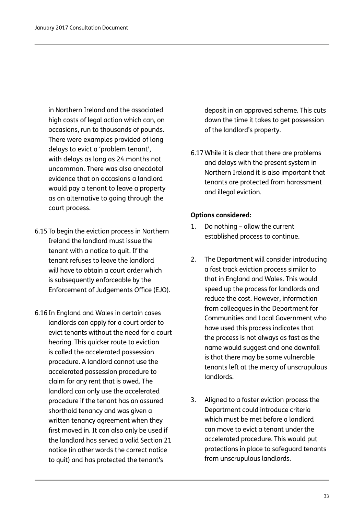in Northern Ireland and the associated high costs of legal action which can, on occasions, run to thousands of pounds. There were examples provided of long delays to evict a 'problem tenant', with delays as long as 24 months not uncommon. There was also anecdotal evidence that on occasions a landlord would pay a tenant to leave a property as an alternative to going through the court process.

- 6.15To begin the eviction process in Northern Ireland the landlord must issue the tenant with a notice to quit. If the tenant refuses to leave the landlord will have to obtain a court order which is subsequently enforceable by the Enforcement of Judgements Office (EJO).
- 6.16In England and Wales in certain cases landlords can apply for a court order to evict tenants without the need for a court hearing. This quicker route to eviction is called the accelerated possession procedure. A landlord cannot use the accelerated possession procedure to claim for any rent that is owed. The landlord can only use the accelerated procedure if the tenant has an assured shorthold tenancy and was given a written tenancy agreement when they first moved in. It can also only be used if the landlord has served a valid Section 21 notice (in other words the correct notice to quit) and has protected the tenant's

deposit in an approved scheme. This cuts down the time it takes to get possession of the landlord's property.

6.17While it is clear that there are problems and delays with the present system in Northern Ireland it is also important that tenants are protected from harassment and illegal eviction.

### **Options considered:**

- 1. Do nothing allow the current established process to continue.
- 2. The Department will consider introducing a fast track eviction process similar to that in England and Wales. This would speed up the process for landlords and reduce the cost. However, information from colleagues in the Department for Communities and Local Government who have used this process indicates that the process is not always as fast as the name would suggest and one downfall is that there may be some vulnerable tenants left at the mercy of unscrupulous landlords.
- 3. Aligned to a faster eviction process the Department could introduce criteria which must be met before a landlord can move to evict a tenant under the accelerated procedure. This would put protections in place to safeguard tenants from unscrupulous landlords.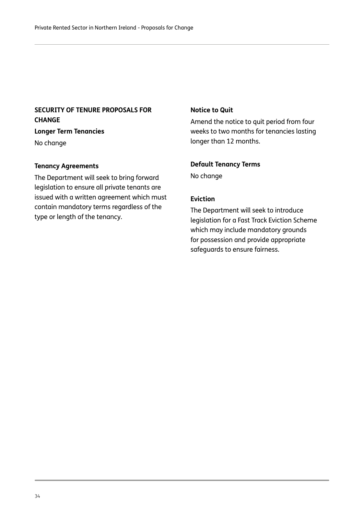### **SECURITY OF TENURE PROPOSALS FOR CHANGE**

**Longer Term Tenancies** No change

### **Tenancy Agreements**

The Department will seek to bring forward legislation to ensure all private tenants are issued with a written agreement which must contain mandatory terms regardless of the type or length of the tenancy.

### **Notice to Quit**

Amend the notice to quit period from four weeks to two months for tenancies lasting longer than 12 months.

### **Default Tenancy Terms**

No change

### **Eviction**

The Department will seek to introduce legislation for a Fast Track Eviction Scheme which may include mandatory grounds for possession and provide appropriate safeguards to ensure fairness.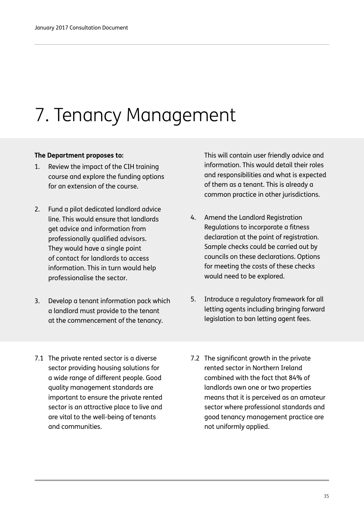## 7. Tenancy Management

### **The Department proposes to:**

- 1. Review the impact of the CIH training course and explore the funding options for an extension of the course.
- 2. Fund a pilot dedicated landlord advice line. This would ensure that landlords get advice and information from professionally qualified advisors. They would have a single point of contact for landlords to access information. This in turn would help professionalise the sector.
- 3. Develop a tenant information pack which a landlord must provide to the tenant at the commencement of the tenancy.
- 7.1 The private rented sector is a diverse sector providing housing solutions for a wide range of different people. Good quality management standards are important to ensure the private rented sector is an attractive place to live and are vital to the well-being of tenants and communities.

This will contain user friendly advice and information. This would detail their roles and responsibilities and what is expected of them as a tenant. This is already a common practice in other jurisdictions.

- 4. Amend the Landlord Registration Regulations to incorporate a fitness declaration at the point of registration. Sample checks could be carried out by councils on these declarations. Options for meeting the costs of these checks would need to be explored.
- 5. Introduce a regulatory framework for all letting agents including bringing forward legislation to ban letting agent fees.
- 7.2 The significant growth in the private rented sector in Northern Ireland combined with the fact that 84% of landlords own one or two properties means that it is perceived as an amateur sector where professional standards and good tenancy management practice are not uniformly applied.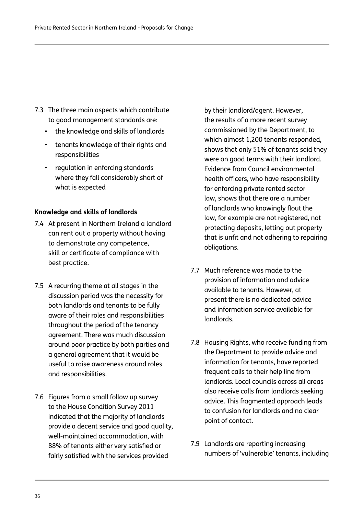- 7.3 The three main aspects which contribute to good management standards are:
	- the knowledge and skills of landlords
	- tenants knowledge of their rights and responsibilities
	- regulation in enforcing standards where they fall considerably short of what is expected

### **Knowledge and skills of landlords**

- 7.4 At present in Northern Ireland a landlord can rent out a property without having to demonstrate any competence, skill or certificate of compliance with best practice.
- 7.5 A recurring theme at all stages in the discussion period was the necessity for both landlords and tenants to be fully aware of their roles and responsibilities throughout the period of the tenancy agreement. There was much discussion around poor practice by both parties and a general agreement that it would be useful to raise awareness around roles and responsibilities.
- 7.6 Figures from a small follow up survey to the House Condition Survey 2011 indicated that the majority of landlords provide a decent service and good quality, well-maintained accommodation, with 88% of tenants either very satisfied or fairly satisfied with the services provided

by their landlord/agent. However, the results of a more recent survey commissioned by the Department, to which almost 1,200 tenants responded, shows that only 51% of tenants said they were on good terms with their landlord. Evidence from Council environmental health officers, who have responsibility for enforcing private rented sector law, shows that there are a number of landlords who knowingly flout the law, for example are not registered, not protecting deposits, letting out property that is unfit and not adhering to repairing obligations.

- 7.7 Much reference was made to the provision of information and advice available to tenants. However, at present there is no dedicated advice and information service available for landlords.
- 7.8 Housing Rights, who receive funding from the Department to provide advice and information for tenants, have reported frequent calls to their help line from landlords. Local councils across all areas also receive calls from landlords seeking advice. This fragmented approach leads to confusion for landlords and no clear point of contact.
- 7.9 Landlords are reporting increasing numbers of 'vulnerable' tenants, including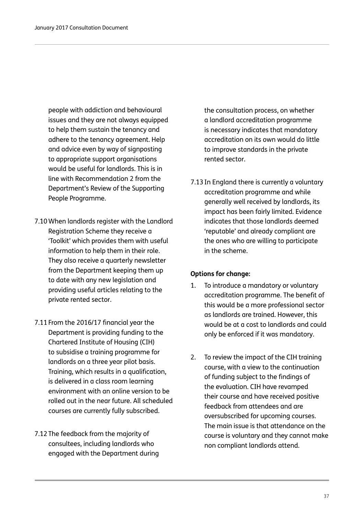people with addiction and behavioural issues and they are not always equipped to help them sustain the tenancy and adhere to the tenancy agreement. Help and advice even by way of signposting to appropriate support organisations would be useful for landlords. This is in line with Recommendation 2 from the Department's Review of the Supporting People Programme.

- 7.10When landlords register with the Landlord Registration Scheme they receive a 'Toolkit' which provides them with useful information to help them in their role. They also receive a quarterly newsletter from the Department keeping them up to date with any new legislation and providing useful articles relating to the private rented sector.
- 7.11From the 2016/17 financial year the Department is providing funding to the Chartered Institute of Housing (CIH) to subsidise a training programme for landlords on a three year pilot basis. Training, which results in a qualification, is delivered in a class room learning environment with an online version to be rolled out in the near future. All scheduled courses are currently fully subscribed.
- 7.12The feedback from the majority of consultees, including landlords who engaged with the Department during

the consultation process, on whether a landlord accreditation programme is necessary indicates that mandatory accreditation on its own would do little to improve standards in the private rented sector.

7.13In England there is currently a voluntary accreditation programme and while generally well received by landlords, its impact has been fairly limited. Evidence indicates that those landlords deemed 'reputable' and already compliant are the ones who are willing to participate in the scheme.

#### **Options for change:**

- 1. To introduce a mandatory or voluntary accreditation programme. The benefit of this would be a more professional sector as landlords are trained. However, this would be at a cost to landlords and could only be enforced if it was mandatory.
- 2. To review the impact of the CIH training course, with a view to the continuation of funding subject to the findings of the evaluation. CIH have revamped their course and have received positive feedback from attendees and are oversubscribed for upcoming courses. The main issue is that attendance on the course is voluntary and they cannot make non compliant landlords attend.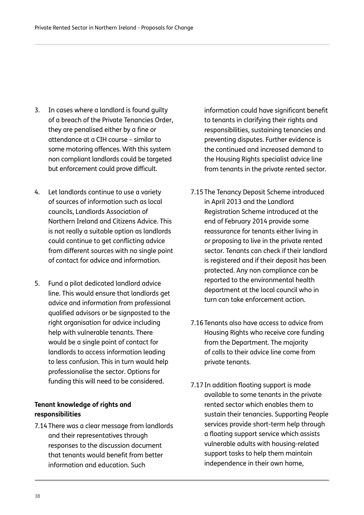- 3. In cases where a landlord is found guilty of a breach of the Private Tenancies Order, they are penalised either by a fine or attendance at a CIH course – similar to some motoring offences. With this system non compliant landlords could be targeted but enforcement could prove difficult.
- 4. Let landlords continue to use a variety of sources of information such as local councils, Landlords Association of Northern Ireland and Citizens Advice. This is not really a suitable option as landlords could continue to get conflicting advice from different sources with no single point of contact for advice and information.
- 5. Fund a pilot dedicated landlord advice line. This would ensure that landlords get advice and information from professional qualified advisors or be signposted to the right organisation for advice including help with vulnerable tenants. There would be a single point of contact for landlords to access information leading to less confusion. This in turn would help professionalise the sector. Options for funding this will need to be considered.

#### **Tenant knowledge of rights and responsibilities**

7.14There was a clear message from landlords and their representatives through responses to the discussion document that tenants would benefit from better information and education. Such

information could have significant benefit to tenants in clarifying their rights and responsibilities, sustaining tenancies and preventing disputes. Further evidence is the continued and increased demand to the Housing Rights specialist advice line from tenants in the private rented sector.

- 7.15The Tenancy Deposit Scheme introduced in April 2013 and the Landlord Registration Scheme introduced at the end of February 2014 provide some reassurance for tenants either living in or proposing to live in the private rented sector. Tenants can check if their landlord is registered and if their deposit has been protected. Any non compliance can be reported to the environmental health department at the local council who in turn can take enforcement action.
- 7.16Tenants also have access to advice from Housing Rights who receive core funding from the Department. The majority of calls to their advice line come from private tenants.
- 7.17In addition floating support is made available to some tenants in the private rented sector which enables them to sustain their tenancies. Supporting People services provide short-term help through a floating support service which assists vulnerable adults with housing-related support tasks to help them maintain independence in their own home,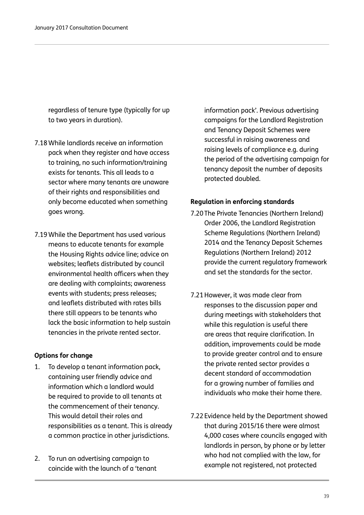regardless of tenure type (typically for up to two years in duration).

- 7.18While landlords receive an information pack when they register and have access to training, no such information/training exists for tenants. This all leads to a sector where many tenants are unaware of their rights and responsibilities and only become educated when something goes wrong.
- 7.19While the Department has used various means to educate tenants for example the Housing Rights advice line; advice on websites; leaflets distributed by council environmental health officers when they are dealing with complaints; awareness events with students; press releases; and leaflets distributed with rates bills there still appears to be tenants who lack the basic information to help sustain tenancies in the private rented sector.

#### **Options for change**

- 1. To develop a tenant information pack, containing user friendly advice and information which a landlord would be required to provide to all tenants at the commencement of their tenancy. This would detail their roles and responsibilities as a tenant. This is already a common practice in other jurisdictions.
- 2. To run an advertising campaign to coincide with the launch of a 'tenant

information pack'. Previous advertising campaigns for the Landlord Registration and Tenancy Deposit Schemes were successful in raising awareness and raising levels of compliance e.g. during the period of the advertising campaign for tenancy deposit the number of deposits protected doubled.

#### **Regulation in enforcing standards**

- 7.20The Private Tenancies (Northern Ireland) Order 2006, the Landlord Registration Scheme Regulations (Northern Ireland) 2014 and the Tenancy Deposit Schemes Regulations (Northern Ireland) 2012 provide the current regulatory framework and set the standards for the sector.
- 7.21However, it was made clear from responses to the discussion paper and during meetings with stakeholders that while this regulation is useful there are areas that require clarification. In addition, improvements could be made to provide greater control and to ensure the private rented sector provides a decent standard of accommodation for a growing number of families and individuals who make their home there.
- 7.22Evidence held by the Department showed that during 2015/16 there were almost 4,000 cases where councils engaged with landlords in person, by phone or by letter who had not complied with the law, for example not registered, not protected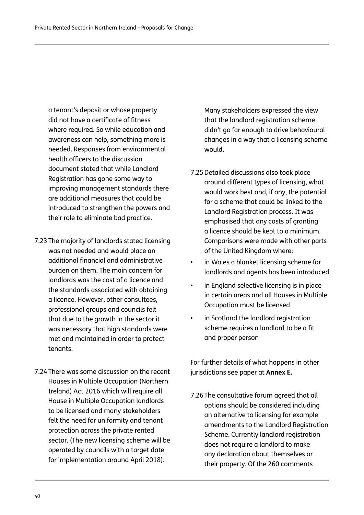a tenant's deposit or whose property did not have a certificate of fitness where required. So while education and awareness can help, something more is needed. Responses from environmental health officers to the discussion document stated that while Landlord Registration has gone some way to improving management standards there are additional measures that could be introduced to strengthen the powers and their role to eliminate bad practice.

- 7.23The majority of landlords stated licensing was not needed and would place an additional financial and administrative burden on them. The main concern for landlords was the cost of a licence and the standards associated with obtaining a licence. However, other consultees, professional groups and councils felt that due to the growth in the sector it was necessary that high standards were met and maintained in order to protect tenants.
- 7.24There was some discussion on the recent Houses in Multiple Occupation (Northern Ireland) Act 2016 which will require all House in Multiple Occupation landlords to be licensed and many stakeholders felt the need for uniformity and tenant protection across the private rented sector. (The new licensing scheme will be operated by councils with a target date for implementation around April 2018).

Many stakeholders expressed the view that the landlord registration scheme didn't go far enough to drive behavioural changes in a way that a licensing scheme would.

- 7.25Detailed discussions also took place around different types of licensing, what would work best and, if any, the potential for a scheme that could be linked to the Landlord Registration process. It was emphasised that any costs of granting a licence should be kept to a minimum. Comparisons were made with other parts of the United Kingdom where:
- in Wales a blanket licensing scheme for landlords and agents has been introduced
- in England selective licensing is in place in certain areas and all Houses in Multiple Occupation must be licensed
- in Scotland the landlord registration scheme requires a landlord to be a fit and proper person

For further details of what happens in other jurisdictions see paper at **Annex E.**

7.26The consultative forum agreed that all options should be considered including an alternative to licensing for example amendments to the Landlord Registration Scheme. Currently landlord registration does not require a landlord to make any declaration about themselves or their property. Of the 260 comments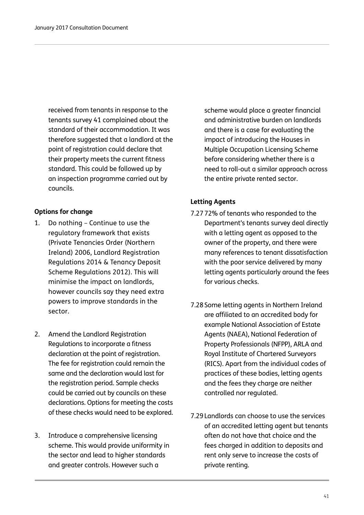received from tenants in response to the tenants survey 41 complained about the standard of their accommodation. It was therefore suggested that a landlord at the point of registration could declare that their property meets the current fitness standard. This could be followed up by an inspection programme carried out by councils.

#### **Options for change**

- 1. Do nothing Continue to use the regulatory framework that exists (Private Tenancies Order (Northern Ireland) 2006, Landlord Registration Regulations 2014 & Tenancy Deposit Scheme Regulations 2012). This will minimise the impact on landlords, however councils say they need extra powers to improve standards in the sector.
- 2. Amend the Landlord Registration Regulations to incorporate a fitness declaration at the point of registration. The fee for registration could remain the same and the declaration would last for the registration period. Sample checks could be carried out by councils on these declarations. Options for meeting the costs of these checks would need to be explored.
- 3. Introduce a comprehensive licensing scheme. This would provide uniformity in the sector and lead to higher standards and greater controls. However such a

scheme would place a greater financial and administrative burden on landlords and there is a case for evaluating the impact of introducing the Houses in Multiple Occupation Licensing Scheme before considering whether there is a need to roll-out a similar approach across the entire private rented sector.

#### **Letting Agents**

- 7.2772% of tenants who responded to the Department's tenants survey deal directly with a letting agent as opposed to the owner of the property, and there were many references to tenant dissatisfaction with the poor service delivered by many letting agents particularly around the fees for various checks.
- 7.28Some letting agents in Northern Ireland are affiliated to an accredited body for example National Association of Estate Agents (NAEA), National Federation of Property Professionals (NFPP), ARLA and Royal Institute of Chartered Surveyors (RICS). Apart from the individual codes of practices of these bodies, letting agents and the fees they charge are neither controlled nor regulated.
- 7.29Landlords can choose to use the services of an accredited letting agent but tenants often do not have that choice and the fees charged in addition to deposits and rent only serve to increase the costs of private renting.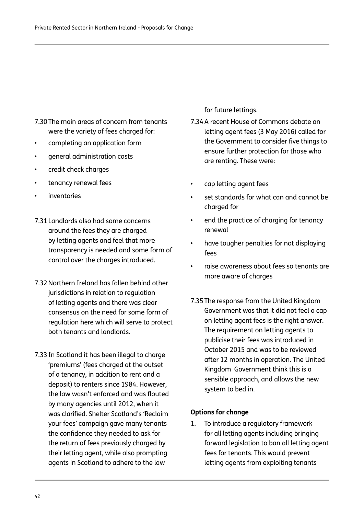7.30The main areas of concern from tenants were the variety of fees charged for:

- completing an application form
- general administration costs
- credit check charges
- tenancy renewal fees
- *inventories*
- 7.31Landlords also had some concerns around the fees they are charged by letting agents and feel that more transparency is needed and some form of control over the charges introduced.
- 7.32Northern Ireland has fallen behind other jurisdictions in relation to regulation of letting agents and there was clear consensus on the need for some form of regulation here which will serve to protect both tenants and landlords.
- 7.33In Scotland it has been illegal to charge 'premiums' (fees charged at the outset of a tenancy, in addition to rent and a deposit) to renters since 1984. However, the law wasn't enforced and was flouted by many agencies until 2012, when it was clarified. Shelter Scotland's 'Reclaim your fees' campaign gave many tenants the confidence they needed to ask for the return of fees previously charged by their letting agent, while also prompting agents in Scotland to adhere to the law

for future lettings.

- 7.34A recent House of Commons debate on letting agent fees (3 May 2016) called for the Government to consider five things to ensure further protection for those who are renting. These were:
- cap letting agent fees
- set standards for what can and cannot be charged for
- end the practice of charging for tenancy renewal
- have tougher penalties for not displaying fees
- raise awareness about fees so tenants are more aware of charges
- 7.35The response from the United Kingdom Government was that it did not feel a cap on letting agent fees is the right answer. The requirement on letting agents to publicise their fees was introduced in October 2015 and was to be reviewed after 12 months in operation. The United Kingdom Government think this is a sensible approach, and allows the new system to bed in.

#### **Options for change**

1. To introduce a regulatory framework for all letting agents including bringing forward legislation to ban all letting agent fees for tenants. This would prevent letting agents from exploiting tenants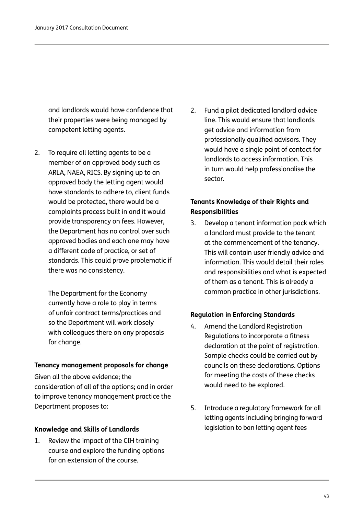and landlords would have confidence that their properties were being managed by competent letting agents.

2. To require all letting agents to be a member of an approved body such as ARLA, NAEA, RICS. By signing up to an approved body the letting agent would have standards to adhere to, client funds would be protected, there would be a complaints process built in and it would provide transparency on fees. However, the Department has no control over such approved bodies and each one may have a different code of practice, or set of standards. This could prove problematic if there was no consistency.

> The Department for the Economy currently have a role to play in terms of unfair contract terms/practices and so the Department will work closely with colleagues there on any proposals for change.

#### **Tenancy management proposals for change**

Given all the above evidence; the consideration of all of the options; and in order to improve tenancy management practice the Department proposes to:

#### **Knowledge and Skills of Landlords**

1. Review the impact of the CIH training course and explore the funding options for an extension of the course.

2. Fund a pilot dedicated landlord advice line. This would ensure that landlords get advice and information from professionally qualified advisors. They would have a single point of contact for landlords to access information. This in turn would help professionalise the sector.

#### **Tenants Knowledge of their Rights and Responsibilities**

3. Develop a tenant information pack which a landlord must provide to the tenant at the commencement of the tenancy. This will contain user friendly advice and information. This would detail their roles and responsibilities and what is expected of them as a tenant. This is already a common practice in other jurisdictions.

#### **Regulation in Enforcing Standards**

- 4. Amend the Landlord Registration Regulations to incorporate a fitness declaration at the point of registration. Sample checks could be carried out by councils on these declarations. Options for meeting the costs of these checks would need to be explored.
- 5. Introduce a regulatory framework for all letting agents including bringing forward legislation to ban letting agent fees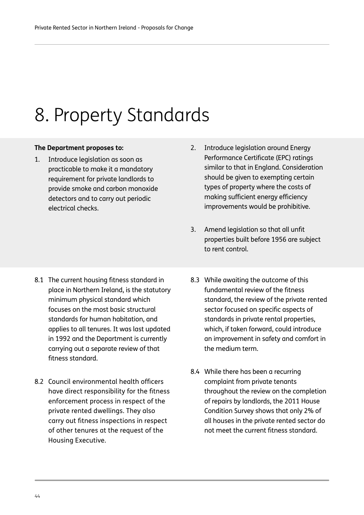# 8. Property Standards

#### **The Department proposes to:**

1. Introduce legislation as soon as practicable to make it a mandatory requirement for private landlords to provide smoke and carbon monoxide detectors and to carry out periodic electrical checks.

- 8.1 The current housing fitness standard in place in Northern Ireland, is the statutory minimum physical standard which focuses on the most basic structural standards for human habitation, and applies to all tenures. It was last updated in 1992 and the Department is currently carrying out a separate review of that fitness standard.
- 8.2 Council environmental health officers have direct responsibility for the fitness enforcement process in respect of the private rented dwellings. They also carry out fitness inspections in respect of other tenures at the request of the Housing Executive.
- 2. Introduce legislation around Energy Performance Certificate (EPC) ratings similar to that in England. Consideration should be given to exempting certain types of property where the costs of making sufficient energy efficiency improvements would be prohibitive.
- 3. Amend legislation so that all unfit properties built before 1956 are subject to rent control.
- 8.3 While awaiting the outcome of this fundamental review of the fitness standard, the review of the private rented sector focused on specific aspects of standards in private rental properties, which, if taken forward, could introduce an improvement in safety and comfort in the medium term.
- 8.4 While there has been a recurring complaint from private tenants throughout the review on the completion of repairs by landlords, the 2011 House Condition Survey shows that only 2% of all houses in the private rented sector do not meet the current fitness standard.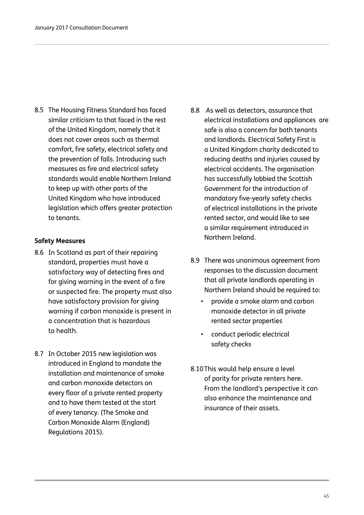8.5 The Housing Fitness Standard has faced similar criticism to that faced in the rest of the United Kingdom, namely that it does not cover areas such as thermal comfort, fire safety, electrical safety and the prevention of falls. Introducing such measures as fire and electrical safety standards would enable Northern Ireland to keep up with other parts of the United Kingdom who have introduced legislation which offers greater protection to tenants.

#### **Safety Measures**

- 8.6 In Scotland as part of their repairing standard, properties must have a satisfactory way of detecting fires and for giving warning in the event of a fire or suspected fire. The property must also have satisfactory provision for giving warning if carbon monoxide is present in a concentration that is hazardous to health.
- 8.7 In October 2015 new legislation was introduced in England to mandate the installation and maintenance of smoke and carbon monoxide detectors on every floor of a private rented property and to have them tested at the start of every tenancy. (The Smoke and Carbon Monoxide Alarm (England) Regulations 2015).
- 8.8 As well as detectors, assurance that electrical installations and appliances are safe is also a concern for both tenants and landlords. Electrical Safety First is a United Kingdom charity dedicated to reducing deaths and injuries caused by electrical accidents. The organisation has successfully lobbied the Scottish Government for the introduction of mandatory five-yearly safety checks of electrical installations in the private rented sector, and would like to see a similar requirement introduced in Northern Ireland.
- 8.9 There was unanimous agreement from responses to the discussion document that all private landlords operating in Northern Ireland should be required to:
	- provide a smoke alarm and carbon monoxide detector in all private rented sector properties
	- conduct periodic electrical safety checks
- 8.10This would help ensure a level of parity for private renters here. From the landlord's perspective it can also enhance the maintenance and insurance of their assets.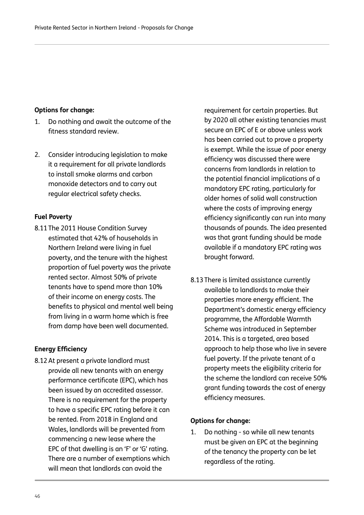#### **Options for change:**

- 1. Do nothing and await the outcome of the fitness standard review.
- 2. Consider introducing legislation to make it a requirement for all private landlords to install smoke alarms and carbon monoxide detectors and to carry out regular electrical safety checks.

#### **Fuel Poverty**

8.11The 2011 House Condition Survey estimated that 42% of households in Northern Ireland were living in fuel poverty, and the tenure with the highest proportion of fuel poverty was the private rented sector. Almost 50% of private tenants have to spend more than 10% of their income on energy costs. The benefits to physical and mental well being from living in a warm home which is free from damp have been well documented.

#### **Energy Efficiency**

8.12At present a private landlord must provide all new tenants with an energy performance certificate (EPC), which has been issued by an accredited assessor. There is no requirement for the property to have a specific EPC rating before it can be rented. From 2018 in England and Wales, landlords will be prevented from commencing a new lease where the EPC of that dwelling is an 'F' or 'G' rating. There are a number of exemptions which will mean that landlords can avoid the

requirement for certain properties. But by 2020 all other existing tenancies must secure an EPC of E or above unless work has been carried out to prove a property is exempt. While the issue of poor energy efficiency was discussed there were concerns from landlords in relation to the potential financial implications of a mandatory EPC rating, particularly for older homes of solid wall construction where the costs of improving energy efficiency significantly can run into many thousands of pounds. The idea presented was that grant funding should be made available if a mandatory EPC rating was brought forward.

8.13There is limited assistance currently available to landlords to make their properties more energy efficient. The Department's domestic energy efficiency programme, the Affordable Warmth Scheme was introduced in September 2014. This is a targeted, area based approach to help those who live in severe fuel poverty. If the private tenant of a property meets the eligibility criteria for the scheme the landlord can receive 50% grant funding towards the cost of energy efficiency measures.

#### **Options for change:**

1. Do nothing - so while all new tenants must be given an EPC at the beginning of the tenancy the property can be let regardless of the rating.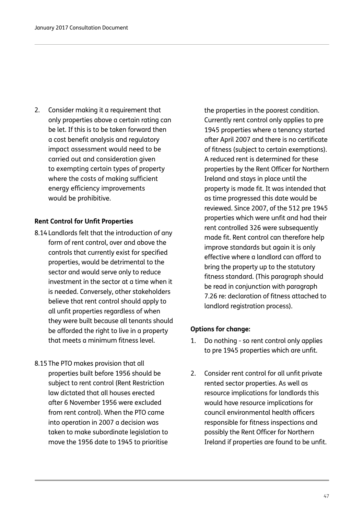2. Consider making it a requirement that only properties above a certain rating can be let. If this is to be taken forward then a cost benefit analysis and regulatory impact assessment would need to be carried out and consideration given to exempting certain types of property where the costs of making sufficient energy efficiency improvements would be prohibitive.

#### **Rent Control for Unfit Properties**

- 8.14Landlords felt that the introduction of any form of rent control, over and above the controls that currently exist for specified properties, would be detrimental to the sector and would serve only to reduce investment in the sector at a time when it is needed. Conversely, other stakeholders believe that rent control should apply to all unfit properties regardless of when they were built because all tenants should be afforded the right to live in a property that meets a minimum fitness level.
- 8.15The PTO makes provision that all properties built before 1956 should be subject to rent control (Rent Restriction law dictated that all houses erected after 6 November 1956 were excluded from rent control). When the PTO came into operation in 2007 a decision was taken to make subordinate legislation to move the 1956 date to 1945 to prioritise

the properties in the poorest condition. Currently rent control only applies to pre 1945 properties where a tenancy started after April 2007 and there is no certificate of fitness (subject to certain exemptions). A reduced rent is determined for these properties by the Rent Officer for Northern Ireland and stays in place until the property is made fit. It was intended that as time progressed this date would be reviewed. Since 2007, of the 512 pre 1945 properties which were unfit and had their rent controlled 326 were subsequently made fit. Rent control can therefore help improve standards but again it is only effective where a landlord can afford to bring the property up to the statutory fitness standard. (This paragraph should be read in conjunction with paragraph 7.26 re: declaration of fitness attached to landlord registration process).

#### **Options for change:**

- 1. Do nothing so rent control only applies to pre 1945 properties which are unfit.
- 2. Consider rent control for all unfit private rented sector properties. As well as resource implications for landlords this would have resource implications for council environmental health officers responsible for fitness inspections and possibly the Rent Officer for Northern Ireland if properties are found to be unfit.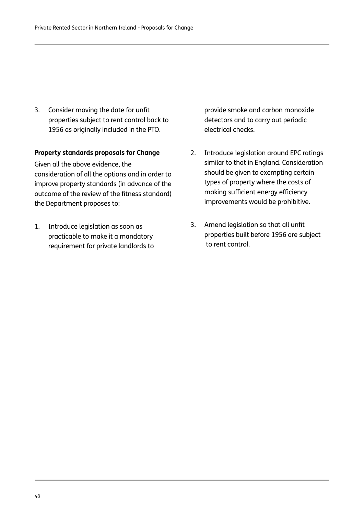3. Consider moving the date for unfit properties subject to rent control back to 1956 as originally included in the PTO.

#### **Property standards proposals for Change**

Given all the above evidence, the consideration of all the options and in order to improve property standards (in advance of the outcome of the review of the fitness standard) the Department proposes to:

1. Introduce legislation as soon as practicable to make it a mandatory requirement for private landlords to provide smoke and carbon monoxide detectors and to carry out periodic electrical checks.

- 2. Introduce legislation around EPC ratings similar to that in England. Consideration should be given to exempting certain types of property where the costs of making sufficient energy efficiency improvements would be prohibitive.
- 3. Amend legislation so that all unfit properties built before 1956 are subject to rent control.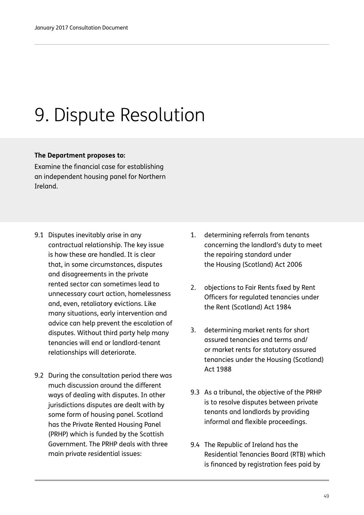# 9. Dispute Resolution

#### **The Department proposes to:**

Examine the financial case for establishing an independent housing panel for Northern Ireland.

- 9.1 Disputes inevitably arise in any contractual relationship. The key issue is how these are handled. It is clear that, in some circumstances, disputes and disagreements in the private rented sector can sometimes lead to unnecessary court action, homelessness and, even, retaliatory evictions. Like many situations, early intervention and advice can help prevent the escalation of disputes. Without third party help many tenancies will end or landlord-tenant relationships will deteriorate.
- 9.2 During the consultation period there was much discussion around the different ways of dealing with disputes. In other jurisdictions disputes are dealt with by some form of housing panel. Scotland has the Private Rented Housing Panel (PRHP) which is funded by the Scottish Government. The PRHP deals with three main private residential issues:
- 1. determining referrals from tenants concerning the landlord's duty to meet the repairing standard under the Housing (Scotland) Act 2006
- 2. objections to Fair Rents fixed by Rent Officers for regulated tenancies under the Rent (Scotland) Act 1984
- 3. determining market rents for short assured tenancies and terms and/ or market rents for statutory assured tenancies under the Housing (Scotland) Act 1988
- 9.3 As a tribunal, the objective of the PRHP is to resolve disputes between private tenants and landlords by providing informal and flexible proceedings.
- 9.4 The Republic of Ireland has the Residential Tenancies Board (RTB) which is financed by registration fees paid by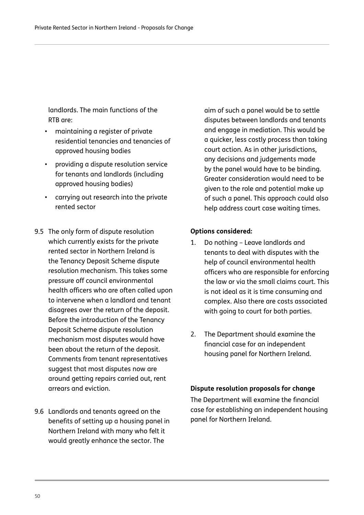landlords. The main functions of the RTB are:

- maintaining a register of private residential tenancies and tenancies of approved housing bodies
- providing a dispute resolution service for tenants and landlords (including approved housing bodies)
- carrying out research into the private rented sector
- 9.5 The only form of dispute resolution which currently exists for the private rented sector in Northern Ireland is the Tenancy Deposit Scheme dispute resolution mechanism. This takes some pressure off council environmental health officers who are often called upon to intervene when a landlord and tenant disagrees over the return of the deposit. Before the introduction of the Tenancy Deposit Scheme dispute resolution mechanism most disputes would have been about the return of the deposit. Comments from tenant representatives suggest that most disputes now are around getting repairs carried out, rent arrears and eviction.
- 9.6 Landlords and tenants agreed on the benefits of setting up a housing panel in Northern Ireland with many who felt it would greatly enhance the sector. The

aim of such a panel would be to settle disputes between landlords and tenants and engage in mediation. This would be a quicker, less costly process than taking court action. As in other jurisdictions, any decisions and judgements made by the panel would have to be binding. Greater consideration would need to be given to the role and potential make up of such a panel. This approach could also help address court case waiting times.

#### **Options considered:**

- 1. Do nothing Leave landlords and tenants to deal with disputes with the help of council environmental health officers who are responsible for enforcing the law or via the small claims court. This is not ideal as it is time consuming and complex. Also there are costs associated with going to court for both parties.
- 2. The Department should examine the financial case for an independent housing panel for Northern Ireland.

#### **Dispute resolution proposals for change**

The Department will examine the financial case for establishing an independent housing panel for Northern Ireland.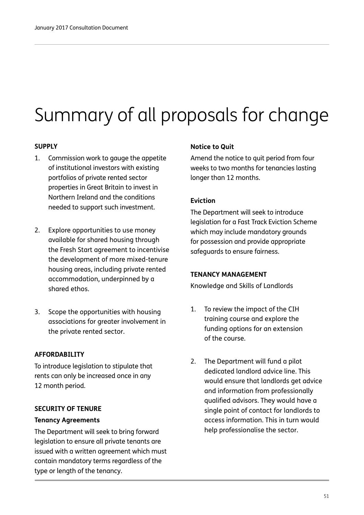# Summary of all proposals for change

#### **SUPPLY**

- 1. Commission work to gauge the appetite of institutional investors with existing portfolios of private rented sector properties in Great Britain to invest in Northern Ireland and the conditions needed to support such investment.
- 2. Explore opportunities to use money available for shared housing through the Fresh Start agreement to incentivise the development of more mixed-tenure housing areas, including private rented accommodation, underpinned by a shared ethos.
- 3. Scope the opportunities with housing associations for greater involvement in the private rented sector.

#### **AFFORDABILITY**

To introduce legislation to stipulate that rents can only be increased once in any 12 month period.

#### **SECURITY OF TENURE**

#### **Tenancy Agreements**

The Department will seek to bring forward legislation to ensure all private tenants are issued with a written agreement which must contain mandatory terms regardless of the type or length of the tenancy.

#### **Notice to Quit**

Amend the notice to quit period from four weeks to two months for tenancies lasting longer than 12 months.

#### **Eviction**

The Department will seek to introduce legislation for a Fast Track Eviction Scheme which may include mandatory grounds for possession and provide appropriate safeguards to ensure fairness.

#### **TENANCY MANAGEMENT**

Knowledge and Skills of Landlords

- 1. To review the impact of the CIH training course and explore the funding options for an extension of the course.
- 2. The Department will fund a pilot dedicated landlord advice line. This would ensure that landlords get advice and information from professionally qualified advisors. They would have a single point of contact for landlords to access information. This in turn would help professionalise the sector.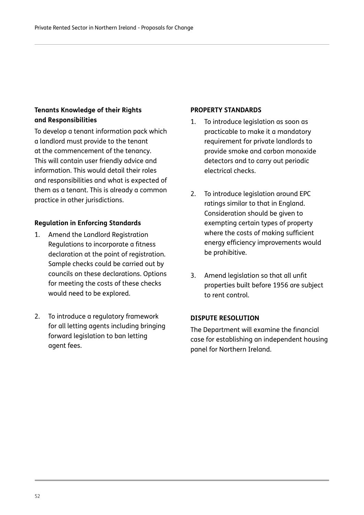#### **Tenants Knowledge of their Rights and Responsibilities**

To develop a tenant information pack which a landlord must provide to the tenant at the commencement of the tenancy. This will contain user friendly advice and information. This would detail their roles and responsibilities and what is expected of them as a tenant. This is already a common practice in other jurisdictions.

#### **Regulation in Enforcing Standards**

- 1. Amend the Landlord Registration Regulations to incorporate a fitness declaration at the point of registration. Sample checks could be carried out by councils on these declarations. Options for meeting the costs of these checks would need to be explored.
- 2. To introduce a regulatory framework for all letting agents including bringing forward legislation to ban letting agent fees.

#### **PROPERTY STANDARDS**

- 1. To introduce legislation as soon as practicable to make it a mandatory requirement for private landlords to provide smoke and carbon monoxide detectors and to carry out periodic electrical checks.
- 2. To introduce legislation around EPC ratings similar to that in England. Consideration should be given to exempting certain types of property where the costs of making sufficient energy efficiency improvements would be prohibitive.
- 3. Amend legislation so that all unfit properties built before 1956 are subject to rent control.

#### **DISPUTE RESOLUTION**

The Department will examine the financial case for establishing an independent housing panel for Northern Ireland.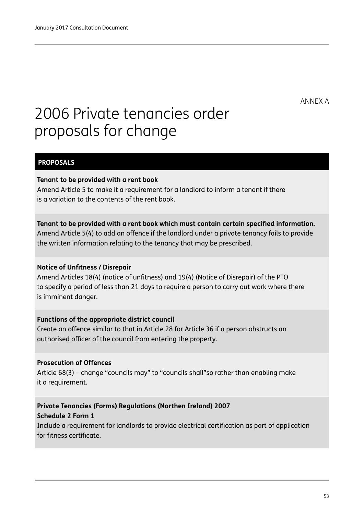ANNEX A

## 2006 Private tenancies order proposals for change

#### **PROPOSALS**

#### **Tenant to be provided with a rent book**

Amend Article 5 to make it a requirement for a landlord to inform a tenant if there is a variation to the contents of the rent book.

#### **Tenant to be provided with a rent book which must contain certain specified information.**

Amend Article 5(4) to add an offence if the landlord under a private tenancy fails to provide the written information relating to the tenancy that may be prescribed.

#### **Notice of Unfitness / Disrepair**

Amend Articles 18(4) (notice of unfitness) and 19(4) (Notice of Disrepair) of the PTO to specify a period of less than 21 days to require a person to carry out work where there is imminent danger.

#### **Functions of the appropriate district council**

Create an offence similar to that in Article 28 for Article 36 if a person obstructs an authorised officer of the council from entering the property.

#### **Prosecution of Offences**

Article 68(3) – change "councils may" to "councils shall"so rather than enabling make it a requirement.

#### **Private Tenancies (Forms) Regulations (Northen Ireland) 2007 Schedule 2 Form 1**

Include a requirement for landlords to provide electrical certification as part of application for fitness certificate.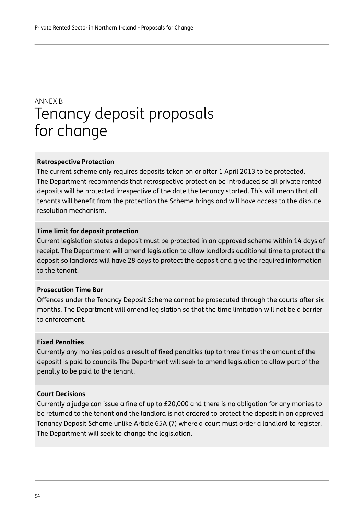### Tenancy deposit proposals for change ANNEX B

#### **Retrospective Protection**

The current scheme only requires deposits taken on or after 1 April 2013 to be protected. The Department recommends that retrospective protection be introduced so all private rented deposits will be protected irrespective of the date the tenancy started. This will mean that all tenants will benefit from the protection the Scheme brings and will have access to the dispute resolution mechanism.

#### **Time limit for deposit protection**

Current legislation states a deposit must be protected in an approved scheme within 14 days of receipt. The Department will amend legislation to allow landlords additional time to protect the deposit so landlords will have 28 days to protect the deposit and give the required information to the tenant.

#### **Prosecution Time Bar**

Offences under the Tenancy Deposit Scheme cannot be prosecuted through the courts after six months. The Department will amend legislation so that the time limitation will not be a barrier to enforcement.

#### **Fixed Penalties**

Currently any monies paid as a result of fixed penalties (up to three times the amount of the deposit) is paid to councils The Department will seek to amend legislation to allow part of the penalty to be paid to the tenant.

#### **Court Decisions**

Currently a judge can issue a fine of up to £20,000 and there is no obligation for any monies to be returned to the tenant and the landlord is not ordered to protect the deposit in an approved Tenancy Deposit Scheme unlike Article 65A (7) where a court must order a landlord to register. The Department will seek to change the legislation.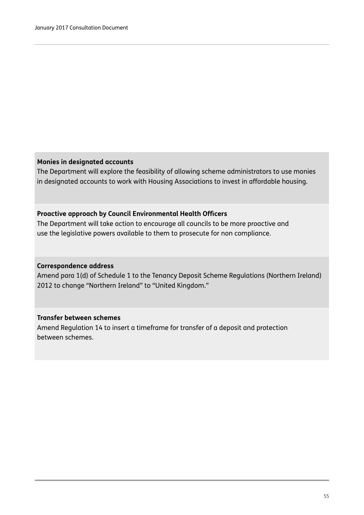#### **Monies in designated accounts**

The Department will explore the feasibility of allowing scheme administrators to use monies in designated accounts to work with Housing Associations to invest in affordable housing.

#### **Proactive approach by Council Environmental Health Officers**

The Department will take action to encourage all councils to be more proactive and use the legislative powers available to them to prosecute for non compliance.

#### **Correspondence address**

Amend para 1(d) of Schedule 1 to the Tenancy Deposit Scheme Regulations (Northern Ireland) 2012 to change "Northern Ireland" to "United Kingdom."

#### **Transfer between schemes**

Amend Regulation 14 to insert a timeframe for transfer of a deposit and protection between schemes.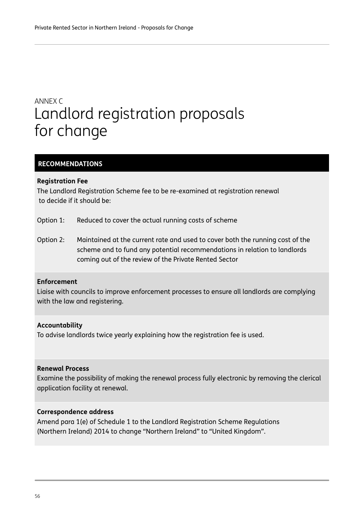## Landlord registration proposals for change ANNEX C

#### **RECOMMENDATIONS**

#### **Registration Fee**

The Landlord Registration Scheme fee to be re-examined at registration renewal to decide if it should be:

- Option 1: Reduced to cover the actual running costs of scheme
- Option 2: Maintained at the current rate and used to cover both the running cost of the scheme and to fund any potential recommendations in relation to landlords coming out of the review of the Private Rented Sector

#### **Enforcement**

Liaise with councils to improve enforcement processes to ensure all landlords are complying with the law and registering.

#### **Accountability**

To advise landlords twice yearly explaining how the registration fee is used.

#### **Renewal Process**

Examine the possibility of making the renewal process fully electronic by removing the clerical application facility at renewal.

#### **Correspondence address**

Amend para 1(e) of Schedule 1 to the Landlord Registration Scheme Regulations (Northern Ireland) 2014 to change "Northern Ireland" to "United Kingdom".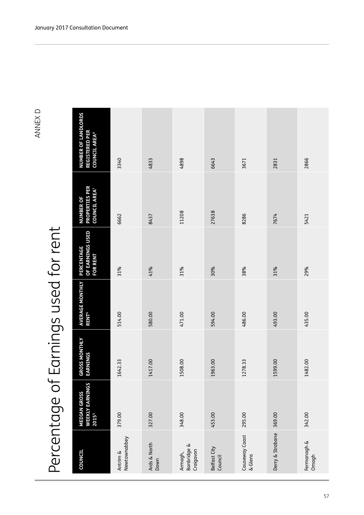# Percentage of Earnings used for rent Percentage of Earnings used for rent

| <b>COUNCIL</b>                      | <b>WEEKLY EARNINGS</b><br><b>MEDIAN GROSS</b><br>20155 | <b>GROSS MONTHLY</b><br><b>EARNINGS</b> | AVERAGE MONTHLY<br><b>RENT<sup>6</sup></b> | OF EARNINGS USED<br>PERCENTAGE<br><b>FOR RENT</b> | <b>PROPERTIES PER</b><br><b>COUNCIL AREA</b><br><b>NUMBER OF</b> | <b>NUMBER OF LANDLORDS</b><br><b>REGISTERED PER</b><br><b>COUNCIL AREA®</b> |
|-------------------------------------|--------------------------------------------------------|-----------------------------------------|--------------------------------------------|---------------------------------------------------|------------------------------------------------------------------|-----------------------------------------------------------------------------|
| Newtownabbey<br>Antrim &            | 379.00                                                 | 1642.33                                 | 514.00                                     | 31%                                               | 6662                                                             | 3340                                                                        |
| Ards & North<br>Down                | 327.00                                                 | 1417.00                                 | 580.00                                     | 41%                                               | 8437                                                             | 4833                                                                        |
| Banbridge &<br>Craigavon<br>Armagh, | 348.00                                                 | 1508.00                                 | 471.00                                     | 31%                                               | 11208                                                            | 4898                                                                        |
| Belfast City<br>Council             | 453.00                                                 | 1963.00                                 | 594.00                                     | 30%                                               | 27638                                                            | 6643                                                                        |
| Causeway Coast<br>& Glens           | 295.00                                                 | 1278.33                                 | 486.00                                     | 38%                                               | 8286                                                             | 3671                                                                        |
| Derry & Strabane                    | 369.00                                                 | 1599.00                                 | 493.00                                     | 31%                                               | 7674                                                             | 2831                                                                        |
| Fermanagh &<br>Omagh                | 342.00                                                 | 1482.00                                 | 435.00                                     | 29%                                               | 5421                                                             | 2866                                                                        |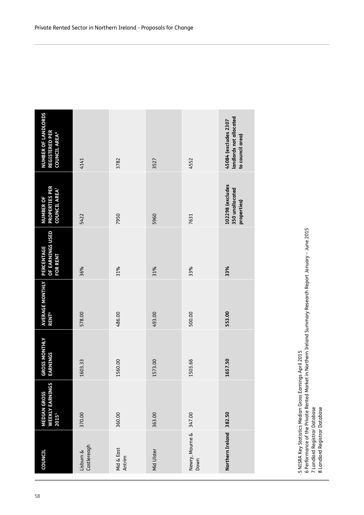| <b>COUNCIL</b>                 | <b>WEEKLY EARNINGS</b><br><b>MEDIAN GROSS</b><br>20155 | <b>GROSS MONTHLY</b><br><b>EARNINGS</b> | <b>AVERAGE MONTHLY</b><br><b>RENT<sup>6</sup></b> | OF EARNINGS USED<br><b>PERCENTAGE</b><br><b>FOR RENT</b> | <b>PROPERTIES PER</b><br>COUNCIL AREA <sup>7</sup><br><b>NUMBER OF</b> | NUMBER OF LANDLORDS<br><b>REGISTERED PER</b><br><b>COUNCIL AREA®</b> |
|--------------------------------|--------------------------------------------------------|-----------------------------------------|---------------------------------------------------|----------------------------------------------------------|------------------------------------------------------------------------|----------------------------------------------------------------------|
| Castlereagh<br>Lisburn &       | 370.00                                                 | 1603.33                                 | 578.00                                            | 36%                                                      | 5422                                                                   | 4141                                                                 |
| Mid & East<br>Antrim           | 360.00                                                 | 1560.00                                 | 486.00                                            | 31%                                                      | 7950                                                                   | 3782                                                                 |
| Mid Ulster                     | 363.00                                                 | 1573.00                                 | 493.00                                            | 31%                                                      | 5960                                                                   | 3527                                                                 |
| Newry, Mourne & 347.00<br>Down |                                                        | 1503.66                                 | 500.00                                            | 33%                                                      | 7631                                                                   | 4552                                                                 |
| Northern Ireland               | 382.50                                                 | 1657.50                                 | 553.00                                            | 33%                                                      | 102298 (excludes<br>350 unallocated<br>properties)                     | landlords not allocated<br>45084 (excludes 2307<br>to council area)  |
|                                |                                                        |                                         |                                                   |                                                          |                                                                        |                                                                      |

5 NISRA Key Statistics Median Gross Earnings April 2015

5 NISRA Key Statistics Median Gross Earnings April 2015<br>6 Performance of the Private Rented Market in Northern Ireland Summary Research Report January – June 2015<br>7 Landlord Registrar Database<br>8 Landlord Registrar Database 6 Performance of the Private Rented Market in Northern Ireland Summary Research Report January – June 2015

7 Landlord Registrar Database

8 Landlord Registrar Database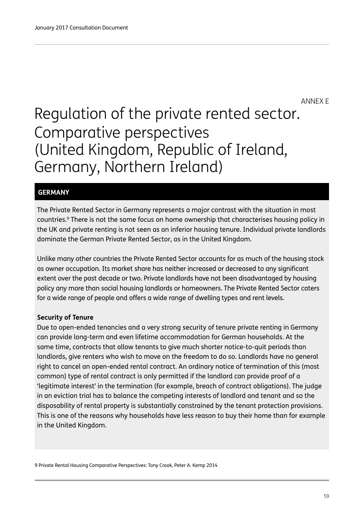ANNEX E

## Regulation of the private rented sector. Comparative perspectives (United Kingdom, Republic of Ireland, Germany, Northern Ireland)

#### **GERMANY**

The Private Rented Sector in Germany represents a major contrast with the situation in most countries.9 There is not the same focus on home ownership that characterises housing policy in the UK and private renting is not seen as an inferior housing tenure. Individual private landlords dominate the German Private Rented Sector, as in the United Kingdom.

Unlike many other countries the Private Rented Sector accounts for as much of the housing stock as owner occupation. Its market share has neither increased or decreased to any significant extent over the past decade or two. Private landlords have not been disadvantaged by housing policy any more than social housing landlords or homeowners. The Private Rented Sector caters for a wide range of people and offers a wide range of dwelling types and rent levels.

#### **Security of Tenure**

Due to open-ended tenancies and a very strong security of tenure private renting in Germany can provide long-term and even lifetime accommodation for German households. At the same time, contracts that allow tenants to give much shorter notice-to-quit periods than landlords, give renters who wish to move on the freedom to do so. Landlords have no general right to cancel an open-ended rental contract. An ordinary notice of termination of this (most common) type of rental contract is only permitted if the landlord can provide proof of a 'legitimate interest' in the termination (for example, breach of contract obligations). The judge in an eviction trial has to balance the competing interests of landlord and tenant and so the disposability of rental property is substantially constrained by the tenant protection provisions. This is one of the reasons why households have less reason to buy their home than for example in the United Kingdom.

9 Private Rental Housing Comparative Perspectives: Tony Crook, Peter A. Kemp 2014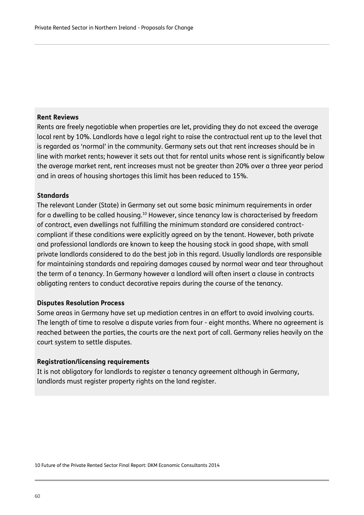#### **Rent Reviews**

Rents are freely negotiable when properties are let, providing they do not exceed the average local rent by 10%. Landlords have a legal right to raise the contractual rent up to the level that is regarded as 'normal' in the community. Germany sets out that rent increases should be in line with market rents; however it sets out that for rental units whose rent is significantly below the average market rent, rent increases must not be greater than 20% over a three year period and in areas of housing shortages this limit has been reduced to 15%.

#### **Standards**

The relevant Lander (State) in Germany set out some basic minimum requirements in order for a dwelling to be called housing.10 However, since tenancy law is characterised by freedom of contract, even dwellings not fulfilling the minimum standard are considered contractcompliant if these conditions were explicitly agreed on by the tenant. However, both private and professional landlords are known to keep the housing stock in good shape, with small private landlords considered to do the best job in this regard. Usually landlords are responsible for maintaining standards and repairing damages caused by normal wear and tear throughout the term of a tenancy. In Germany however a landlord will often insert a clause in contracts obligating renters to conduct decorative repairs during the course of the tenancy.

#### **Disputes Resolution Process**

Some areas in Germany have set up mediation centres in an effort to avoid involving courts. The length of time to resolve a dispute varies from four - eight months. Where no agreement is reached between the parties, the courts are the next port of call. Germany relies heavily on the court system to settle disputes.

#### **Registration/licensing requirements**

It is not obligatory for landlords to register a tenancy agreement although in Germany, landlords must register property rights on the land register.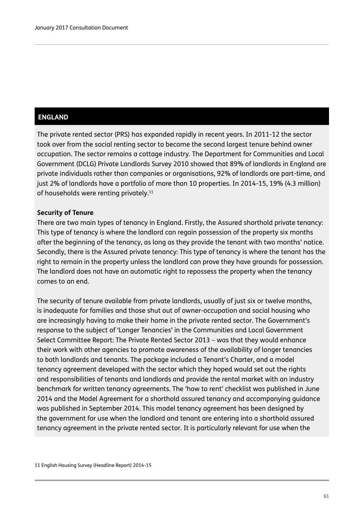#### **ENGLAND**

The private rented sector (PRS) has expanded rapidly in recent years. In 2011-12 the sector took over from the social renting sector to become the second largest tenure behind owner occupation. The sector remains a cottage industry. The Department for Communities and Local Government (DCLG) Private Landlords Survey 2010 showed that 89% of landlords in England are private individuals rather than companies or organisations, 92% of landlords are part-time, and just 2% of landlords have a portfolio of more than 10 properties. In 2014-15, 19% (4.3 million) of households were renting privately.<sup>11</sup>

#### **Security of Tenure**

There are two main types of tenancy in England. Firstly, the Assured shorthold private tenancy: This type of tenancy is where the landlord can regain possession of the property six months after the beginning of the tenancy, as long as they provide the tenant with two months' notice. Secondly, there is the Assured private tenancy: This type of tenancy is where the tenant has the right to remain in the property unless the landlord can prove they have grounds for possession. The landlord does not have an automatic right to repossess the property when the tenancy comes to an end.

The security of tenure available from private landlords, usually of just six or twelve months, is inadequate for families and those shut out of owner-occupation and social housing who are increasingly having to make their home in the private rented sector. The Government's response to the subject of 'Longer Tenancies' in the Communities and Local Government Select Committee Report: The Private Rented Sector 2013 – was that they would enhance their work with other agencies to promote awareness of the availability of longer tenancies to both landlords and tenants. The package included a Tenant's Charter, and a model tenancy agreement developed with the sector which they hoped would set out the rights and responsibilities of tenants and landlords and provide the rental market with an industry benchmark for written tenancy agreements. The 'how to rent' checklist was published in June 2014 and the Model Agreement for a shorthold assured tenancy and accompanying guidance was published in September 2014. This model tenancy agreement has been designed by the government for use when the landlord and tenant are entering into a shorthold assured tenancy agreement in the private rented sector. It is particularly relevant for use when the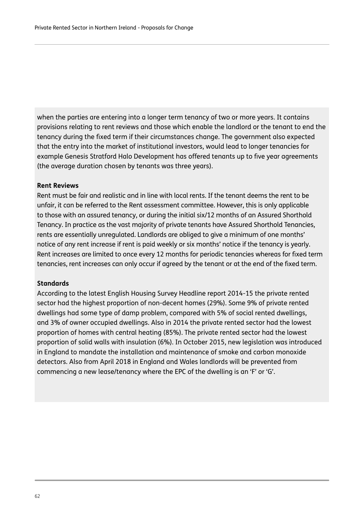when the parties are entering into a longer term tenancy of two or more years. It contains provisions relating to rent reviews and those which enable the landlord or the tenant to end the tenancy during the fixed term if their circumstances change. The government also expected that the entry into the market of institutional investors, would lead to longer tenancies for example Genesis Stratford Halo Development has offered tenants up to five year agreements (the average duration chosen by tenants was three years).

#### **Rent Reviews**

Rent must be fair and realistic and in line with local rents. If the tenant deems the rent to be unfair, it can be referred to the Rent assessment committee. However, this is only applicable to those with an assured tenancy, or during the initial six/12 months of an Assured Shorthold Tenancy. In practice as the vast majority of private tenants have Assured Shorthold Tenancies, rents are essentially unregulated. Landlords are obliged to give a minimum of one months' notice of any rent increase if rent is paid weekly or six months' notice if the tenancy is yearly. Rent increases are limited to once every 12 months for periodic tenancies whereas for fixed term tenancies, rent increases can only occur if agreed by the tenant or at the end of the fixed term.

#### **Standards**

According to the latest English Housing Survey Headline report 2014-15 the private rented sector had the highest proportion of non-decent homes (29%). Some 9% of private rented dwellings had some type of damp problem, compared with 5% of social rented dwellings, and 3% of owner occupied dwellings. Also in 2014 the private rented sector had the lowest proportion of homes with central heating (85%). The private rented sector had the lowest proportion of solid walls with insulation (6%). In October 2015, new legislation was introduced in England to mandate the installation and maintenance of smoke and carbon monoxide detectors. Also from April 2018 in England and Wales landlords will be prevented from commencing a new lease/tenancy where the EPC of the dwelling is an 'F' or 'G'.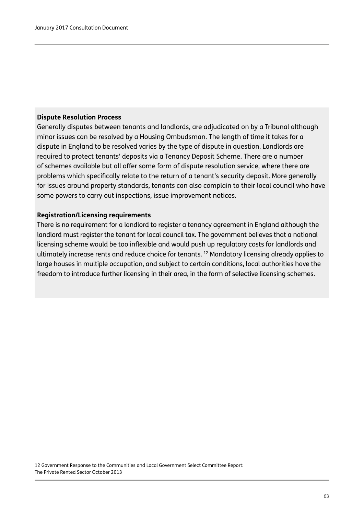#### **Dispute Resolution Process**

Generally disputes between tenants and landlords, are adjudicated on by a Tribunal although minor issues can be resolved by a Housing Ombudsman. The length of time it takes for a dispute in England to be resolved varies by the type of dispute in question. Landlords are required to protect tenants' deposits via a Tenancy Deposit Scheme. There are a number of schemes available but all offer some form of dispute resolution service, where there are problems which specifically relate to the return of a tenant's security deposit. More generally for issues around property standards, tenants can also complain to their local council who have some powers to carry out inspections, issue improvement notices.

#### **Registration/Licensing requirements**

There is no requirement for a landlord to register a tenancy agreement in England although the landlord must register the tenant for local council tax. The government believes that a national licensing scheme would be too inflexible and would push up regulatory costs for landlords and ultimately increase rents and reduce choice for tenants.<sup>12</sup> Mandatory licensing already applies to large houses in multiple occupation, and subject to certain conditions, local authorities have the freedom to introduce further licensing in their area, in the form of selective licensing schemes.

12 Government Response to the Communities and Local Government Select Committee Report: The Private Rented Sector October 2013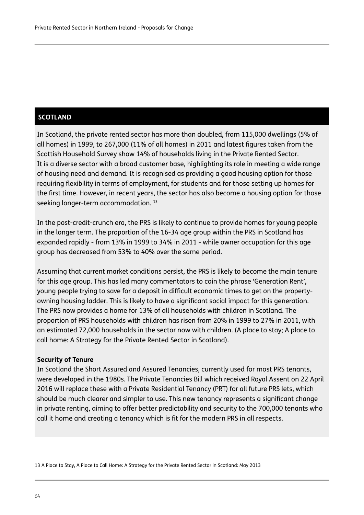#### **SCOTLAND**

In Scotland, the private rented sector has more than doubled, from 115,000 dwellings (5% of all homes) in 1999, to 267,000 (11% of all homes) in 2011 and latest figures taken from the Scottish Household Survey show 14% of households living in the Private Rented Sector. It is a diverse sector with a broad customer base, highlighting its role in meeting a wide range of housing need and demand. It is recognised as providing a good housing option for those requiring flexibility in terms of employment, for students and for those setting up homes for the first time. However, in recent years, the sector has also become a housing option for those seeking longer-term accommodation.<sup>13</sup>

In the post-credit-crunch era, the PRS is likely to continue to provide homes for young people in the longer term. The proportion of the 16-34 age group within the PRS in Scotland has expanded rapidly - from 13% in 1999 to 34% in 2011 - while owner occupation for this age group has decreased from 53% to 40% over the same period.

Assuming that current market conditions persist, the PRS is likely to become the main tenure for this age group. This has led many commentators to coin the phrase 'Generation Rent', young people trying to save for a deposit in difficult economic times to get on the propertyowning housing ladder. This is likely to have a significant social impact for this generation. The PRS now provides a home for 13% of all households with children in Scotland. The proportion of PRS households with children has risen from 20% in 1999 to 27% in 2011, with an estimated 72,000 households in the sector now with children. (A place to stay; A place to call home: A Strategy for the Private Rented Sector in Scotland).

#### **Security of Tenure**

In Scotland the Short Assured and Assured Tenancies, currently used for most PRS tenants, were developed in the 1980s. The Private Tenancies Bill which received Royal Assent on 22 April 2016 will replace these with a Private Residential Tenancy (PRT) for all future PRS lets, which should be much clearer and simpler to use. This new tenancy represents a significant change in private renting, aiming to offer better predictability and security to the 700,000 tenants who call it home and creating a tenancy which is fit for the modern PRS in all respects.

13 A Place to Stay, A Place to Call Home: A Strategy for the Private Rented Sector in Scotland: May 2013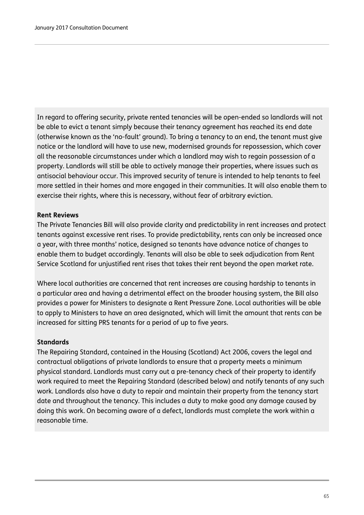In regard to offering security, private rented tenancies will be open-ended so landlords will not be able to evict a tenant simply because their tenancy agreement has reached its end date (otherwise known as the 'no-fault' ground). To bring a tenancy to an end, the tenant must give notice or the landlord will have to use new, modernised grounds for repossession, which cover all the reasonable circumstances under which a landlord may wish to regain possession of a property. Landlords will still be able to actively manage their properties, where issues such as antisocial behaviour occur. This improved security of tenure is intended to help tenants to feel more settled in their homes and more engaged in their communities. It will also enable them to exercise their rights, where this is necessary, without fear of arbitrary eviction.

#### **Rent Reviews**

The Private Tenancies Bill will also provide clarity and predictability in rent increases and protect tenants against excessive rent rises. To provide predictability, rents can only be increased once a year, with three months' notice, designed so tenants have advance notice of changes to enable them to budget accordingly. Tenants will also be able to seek adjudication from Rent Service Scotland for unjustified rent rises that takes their rent beyond the open market rate.

Where local authorities are concerned that rent increases are causing hardship to tenants in a particular area and having a detrimental effect on the broader housing system, the Bill also provides a power for Ministers to designate a Rent Pressure Zone. Local authorities will be able to apply to Ministers to have an area designated, which will limit the amount that rents can be increased for sitting PRS tenants for a period of up to five years.

#### **Standards**

The Repairing Standard, contained in the Housing (Scotland) Act 2006, covers the legal and contractual obligations of private landlords to ensure that a property meets a minimum physical standard. Landlords must carry out a pre-tenancy check of their property to identify work required to meet the Repairing Standard (described below) and notify tenants of any such work. Landlords also have a duty to repair and maintain their property from the tenancy start date and throughout the tenancy. This includes a duty to make good any damage caused by doing this work. On becoming aware of a defect, landlords must complete the work within a reasonable time.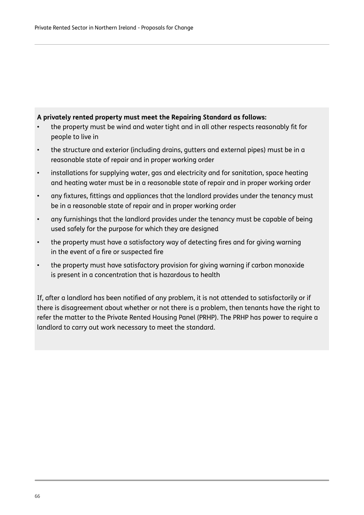#### **A privately rented property must meet the Repairing Standard as follows:**

- the property must be wind and water tight and in all other respects reasonably fit for people to live in
- the structure and exterior (including drains, gutters and external pipes) must be in a reasonable state of repair and in proper working order
- installations for supplying water, gas and electricity and for sanitation, space heating and heating water must be in a reasonable state of repair and in proper working order
- any fixtures, fittings and appliances that the landlord provides under the tenancy must be in a reasonable state of repair and in proper working order
- any furnishings that the landlord provides under the tenancy must be capable of being used safely for the purpose for which they are designed
- the property must have a satisfactory way of detecting fires and for giving warning in the event of a fire or suspected fire
- the property must have satisfactory provision for giving warning if carbon monoxide is present in a concentration that is hazardous to health

If, after a landlord has been notified of any problem, it is not attended to satisfactorily or if there is disagreement about whether or not there is a problem, then tenants have the right to refer the matter to the Private Rented Housing Panel (PRHP). The PRHP has power to require a landlord to carry out work necessary to meet the standard.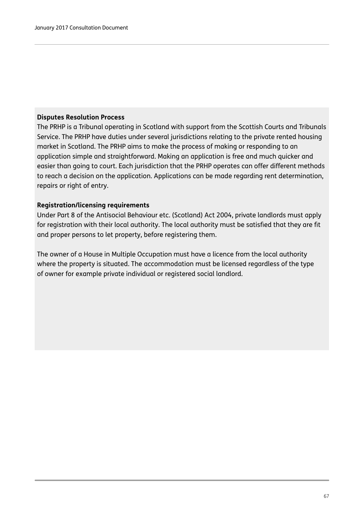#### **Disputes Resolution Process**

The PRHP is a Tribunal operating in Scotland with support from the Scottish Courts and Tribunals Service. The PRHP have duties under several jurisdictions relating to the private rented housing market in Scotland. The PRHP aims to make the process of making or responding to an application simple and straightforward. Making an application is free and much quicker and easier than going to court. Each jurisdiction that the PRHP operates can offer different methods to reach a decision on the application. Applications can be made regarding rent determination, repairs or right of entry.

#### **Registration/licensing requirements**

Under Part 8 of the Antisocial Behaviour etc. (Scotland) Act 2004, private landlords must apply for registration with their local authority. The local authority must be satisfied that they are fit and proper persons to let property, before registering them.

The owner of a House in Multiple Occupation must have a licence from the local authority where the property is situated. The accommodation must be licensed regardless of the type of owner for example private individual or registered social landlord.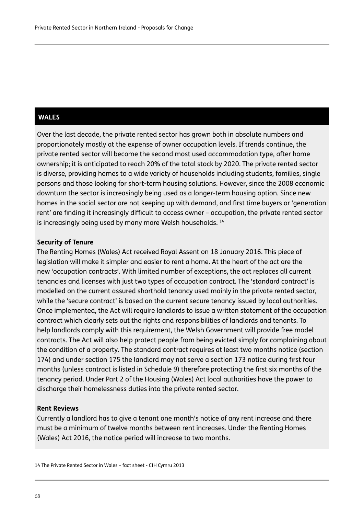#### **WALES**

Over the last decade, the private rented sector has grown both in absolute numbers and proportionately mostly at the expense of owner occupation levels. If trends continue, the private rented sector will become the second most used accommodation type, after home ownership; it is anticipated to reach 20% of the total stock by 2020. The private rented sector is diverse, providing homes to a wide variety of households including students, families, single persons and those looking for short-term housing solutions. However, since the 2008 economic downturn the sector is increasingly being used as a longer-term housing option. Since new homes in the social sector are not keeping up with demand, and first time buyers or 'generation rent' are finding it increasingly difficult to access owner – occupation, the private rented sector is increasingly being used by many more Welsh households.<sup>14</sup>

#### **Security of Tenure**

The Renting Homes (Wales) Act received Royal Assent on 18 January 2016. This piece of legislation will make it simpler and easier to rent a home. At the heart of the act are the new 'occupation contracts'. With limited number of exceptions, the act replaces all current tenancies and licenses with just two types of occupation contract. The 'standard contract' is modelled on the current assured shorthold tenancy used mainly in the private rented sector, while the 'secure contract' is based on the current secure tenancy issued by local authorities. Once implemented, the Act will require landlords to issue a written statement of the occupation contract which clearly sets out the rights and responsibilities of landlords and tenants. To help landlords comply with this requirement, the Welsh Government will provide free model contracts. The Act will also help protect people from being evicted simply for complaining about the condition of a property. The standard contract requires at least two months notice (section 174) and under section 175 the landlord may not serve a section 173 notice during first four months (unless contract is listed in Schedule 9) therefore protecting the first six months of the tenancy period. Under Part 2 of the Housing (Wales) Act local authorities have the power to discharge their homelessness duties into the private rented sector.

#### **Rent Reviews**

Currently a landlord has to give a tenant one month's notice of any rent increase and there must be a minimum of twelve months between rent increases. Under the Renting Homes (Wales) Act 2016, the notice period will increase to two months.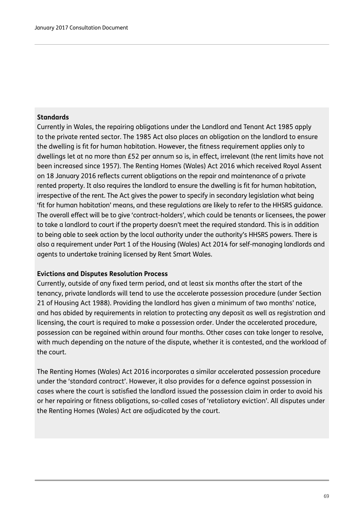#### **Standards**

Currently in Wales, the repairing obligations under the Landlord and Tenant Act 1985 apply to the private rented sector. The 1985 Act also places an obligation on the landlord to ensure the dwelling is fit for human habitation. However, the fitness requirement applies only to dwellings let at no more than £52 per annum so is, in effect, irrelevant (the rent limits have not been increased since 1957). The Renting Homes (Wales) Act 2016 which received Royal Assent on 18 January 2016 reflects current obligations on the repair and maintenance of a private rented property. It also requires the landlord to ensure the dwelling is fit for human habitation, irrespective of the rent. The Act gives the power to specify in secondary legislation what being 'fit for human habitation' means, and these regulations are likely to refer to the HHSRS guidance. The overall effect will be to give 'contract-holders', which could be tenants or licensees, the power to take a landlord to court if the property doesn't meet the required standard. This is in addition to being able to seek action by the local authority under the authority's HHSRS powers. There is also a requirement under Part 1 of the Housing (Wales) Act 2014 for self-managing landlords and agents to undertake training licensed by Rent Smart Wales.

#### **Evictions and Disputes Resolution Process**

Currently, outside of any fixed term period, and at least six months after the start of the tenancy, private landlords will tend to use the accelerate possession procedure (under Section 21 of Housing Act 1988). Providing the landlord has given a minimum of two months' notice, and has abided by requirements in relation to protecting any deposit as well as registration and licensing, the court is required to make a possession order. Under the accelerated procedure, possession can be regained within around four months. Other cases can take longer to resolve, with much depending on the nature of the dispute, whether it is contested, and the workload of the court.

The Renting Homes (Wales) Act 2016 incorporates a similar accelerated possession procedure under the 'standard contract'. However, it also provides for a defence against possession in cases where the court is satisfied the landlord issued the possession claim in order to avoid his or her repairing or fitness obligations, so-called cases of 'retaliatory eviction'. All disputes under the Renting Homes (Wales) Act are adjudicated by the court.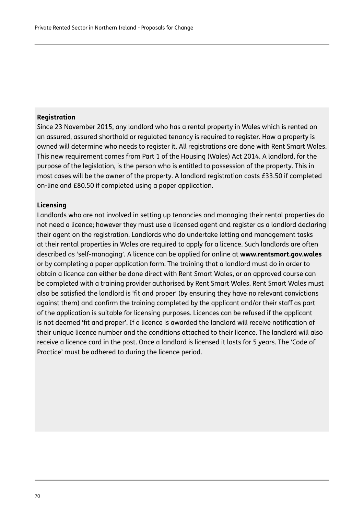#### **Registration**

Since 23 November 2015, any landlord who has a rental property in Wales which is rented on an assured, assured shorthold or regulated tenancy is required to register. How a property is owned will determine who needs to register it. All registrations are done with Rent Smart Wales. This new requirement comes from Part 1 of the Housing (Wales) Act 2014. A landlord, for the purpose of the legislation, is the person who is entitled to possession of the property. This in most cases will be the owner of the property. A landlord registration costs £33.50 if completed on-line and £80.50 if completed using a paper application.

#### **Licensing**

Landlords who are not involved in setting up tenancies and managing their rental properties do not need a licence; however they must use a licensed agent and register as a landlord declaring their agent on the registration. Landlords who do undertake letting and management tasks at their rental properties in Wales are required to apply for a licence. Such landlords are often described as 'self-managing'. A licence can be applied for online at **www.rentsmart.gov.wales** or by completing a paper application form. The training that a landlord must do in order to obtain a licence can either be done direct with Rent Smart Wales, or an approved course can be completed with a training provider authorised by Rent Smart Wales. Rent Smart Wales must also be satisfied the landlord is 'fit and proper' (by ensuring they have no relevant convictions against them) and confirm the training completed by the applicant and/or their staff as part of the application is suitable for licensing purposes. Licences can be refused if the applicant is not deemed 'fit and proper'. If a licence is awarded the landlord will receive notification of their unique licence number and the conditions attached to their licence. The landlord will also receive a licence card in the post. Once a landlord is licensed it lasts for 5 years. The 'Code of Practice' must be adhered to during the licence period.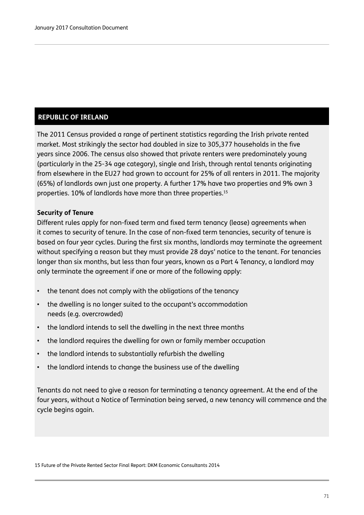#### **REPUBLIC OF IRELAND**

The 2011 Census provided a range of pertinent statistics regarding the Irish private rented market. Most strikingly the sector had doubled in size to 305,377 households in the five years since 2006. The census also showed that private renters were predominately young (particularly in the 25-34 age category), single and Irish, through rental tenants originating from elsewhere in the EU27 had grown to account for 25% of all renters in 2011. The majority (65%) of landlords own just one property. A further 17% have two properties and 9% own 3 properties. 10% of landlords have more than three properties.15

#### **Security of Tenure**

Different rules apply for non-fixed term and fixed term tenancy (lease) agreements when it comes to security of tenure. In the case of non-fixed term tenancies, security of tenure is based on four year cycles. During the first six months, landlords may terminate the agreement without specifying a reason but they must provide 28 days' notice to the tenant. For tenancies longer than six months, but less than four years, known as a Part 4 Tenancy, a landlord may only terminate the agreement if one or more of the following apply:

- the tenant does not comply with the obligations of the tenancy
- the dwelling is no longer suited to the occupant's accommodation needs (e.g. overcrowded)
- the landlord intends to sell the dwelling in the next three months
- the landlord requires the dwelling for own or family member occupation
- the landlord intends to substantially refurbish the dwelling
- the landlord intends to change the business use of the dwelling

Tenants do not need to give a reason for terminating a tenancy agreement. At the end of the four years, without a Notice of Termination being served, a new tenancy will commence and the cycle begins again.

15 Future of the Private Rented Sector Final Report: DKM Economic Consultants 2014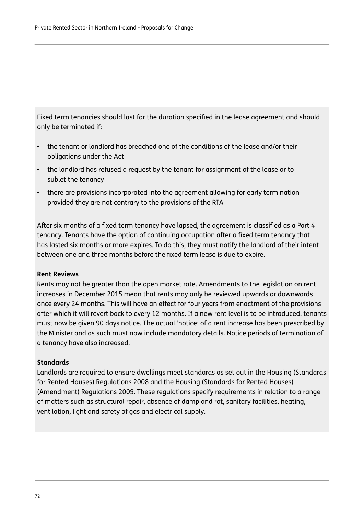Fixed term tenancies should last for the duration specified in the lease agreement and should only be terminated if:

- the tenant or landlord has breached one of the conditions of the lease and/or their obligations under the Act
- the landlord has refused a request by the tenant for assignment of the lease or to sublet the tenancy
- there are provisions incorporated into the agreement allowing for early termination provided they are not contrary to the provisions of the RTA

After six months of a fixed term tenancy have lapsed, the agreement is classified as a Part 4 tenancy. Tenants have the option of continuing occupation after a fixed term tenancy that has lasted six months or more expires. To do this, they must notify the landlord of their intent between one and three months before the fixed term lease is due to expire.

#### **Rent Reviews**

Rents may not be greater than the open market rate. Amendments to the legislation on rent increases in December 2015 mean that rents may only be reviewed upwards or downwards once every 24 months. This will have an effect for four years from enactment of the provisions after which it will revert back to every 12 months. If a new rent level is to be introduced, tenants must now be given 90 days notice. The actual 'notice' of a rent increase has been prescribed by the Minister and as such must now include mandatory details. Notice periods of termination of a tenancy have also increased.

#### **Standards**

Landlords are required to ensure dwellings meet standards as set out in the Housing (Standards for Rented Houses) Regulations 2008 and the Housing (Standards for Rented Houses) (Amendment) Regulations 2009. These regulations specify requirements in relation to a range of matters such as structural repair, absence of damp and rot, sanitary facilities, heating, ventilation, light and safety of gas and electrical supply.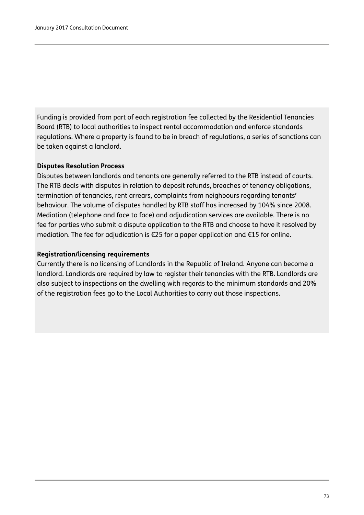Funding is provided from part of each registration fee collected by the Residential Tenancies Board (RTB) to local authorities to inspect rental accommodation and enforce standards regulations. Where a property is found to be in breach of regulations, a series of sanctions can be taken against a landlord.

#### **Disputes Resolution Process**

Disputes between landlords and tenants are generally referred to the RTB instead of courts. The RTB deals with disputes in relation to deposit refunds, breaches of tenancy obligations, termination of tenancies, rent arrears, complaints from neighbours regarding tenants' behaviour. The volume of disputes handled by RTB staff has increased by 104% since 2008. Mediation (telephone and face to face) and adjudication services are available. There is no fee for parties who submit a dispute application to the RTB and choose to have it resolved by mediation. The fee for adjudication is €25 for a paper application and €15 for online.

#### **Registration/licensing requirements**

Currently there is no licensing of Landlords in the Republic of Ireland. Anyone can become a landlord. Landlords are required by law to register their tenancies with the RTB. Landlords are also subject to inspections on the dwelling with regards to the minimum standards and 20% of the registration fees go to the Local Authorities to carry out those inspections.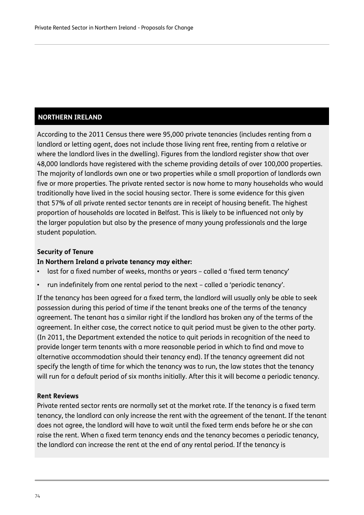### **NORTHERN IRELAND**

According to the 2011 Census there were 95,000 private tenancies (includes renting from a landlord or letting agent, does not include those living rent free, renting from a relative or where the landlord lives in the dwelling). Figures from the landlord register show that over 48,000 landlords have registered with the scheme providing details of over 100,000 properties. The majority of landlords own one or two properties while a small proportion of landlords own five or more properties. The private rented sector is now home to many households who would traditionally have lived in the social housing sector. There is some evidence for this given that 57% of all private rented sector tenants are in receipt of housing benefit. The highest proportion of households are located in Belfast. This is likely to be influenced not only by the larger population but also by the presence of many young professionals and the large student population.

#### **Security of Tenure**

#### **In Northern Ireland a private tenancy may either:**

- last for a fixed number of weeks, months or years called a 'fixed term tenancy'
- run indefinitely from one rental period to the next called a 'periodic tenancy'.

If the tenancy has been agreed for a fixed term, the landlord will usually only be able to seek possession during this period of time if the tenant breaks one of the terms of the tenancy agreement. The tenant has a similar right if the landlord has broken any of the terms of the agreement. In either case, the correct notice to quit period must be given to the other party. (In 2011, the Department extended the notice to quit periods in recognition of the need to provide longer term tenants with a more reasonable period in which to find and move to alternative accommodation should their tenancy end). If the tenancy agreement did not specify the length of time for which the tenancy was to run, the law states that the tenancy will run for a default period of six months initially. After this it will become a periodic tenancy.

#### **Rent Reviews**

Private rented sector rents are normally set at the market rate. If the tenancy is a fixed term tenancy, the landlord can only increase the rent with the agreement of the tenant. If the tenant does not agree, the landlord will have to wait until the fixed term ends before he or she can raise the rent. When a fixed term tenancy ends and the tenancy becomes a periodic tenancy, the landlord can increase the rent at the end of any rental period. If the tenancy is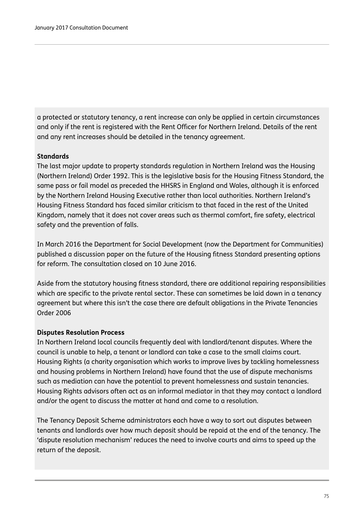a protected or statutory tenancy, a rent increase can only be applied in certain circumstances and only if the rent is registered with the Rent Officer for Northern Ireland. Details of the rent and any rent increases should be detailed in the tenancy agreement.

#### **Standards**

The last major update to property standards regulation in Northern Ireland was the Housing (Northern Ireland) Order 1992. This is the legislative basis for the Housing Fitness Standard, the same pass or fail model as preceded the HHSRS in England and Wales, although it is enforced by the Northern Ireland Housing Executive rather than local authorities. Northern Ireland's Housing Fitness Standard has faced similar criticism to that faced in the rest of the United Kingdom, namely that it does not cover areas such as thermal comfort, fire safety, electrical safety and the prevention of falls.

In March 2016 the Department for Social Development (now the Department for Communities) published a discussion paper on the future of the Housing fitness Standard presenting options for reform. The consultation closed on 10 June 2016.

Aside from the statutory housing fitness standard, there are additional repairing responsibilities which are specific to the private rental sector. These can sometimes be laid down in a tenancy agreement but where this isn't the case there are default obligations in the Private Tenancies Order 2006

#### **Disputes Resolution Process**

In Northern Ireland local councils frequently deal with landlord/tenant disputes. Where the council is unable to help, a tenant or landlord can take a case to the small claims court. Housing Rights (a charity organisation which works to improve lives by tackling homelessness and housing problems in Northern Ireland) have found that the use of dispute mechanisms such as mediation can have the potential to prevent homelessness and sustain tenancies. Housing Rights advisors often act as an informal mediator in that they may contact a landlord and/or the agent to discuss the matter at hand and come to a resolution.

The Tenancy Deposit Scheme administrators each have a way to sort out disputes between tenants and landlords over how much deposit should be repaid at the end of the tenancy. The 'dispute resolution mechanism' reduces the need to involve courts and aims to speed up the return of the deposit.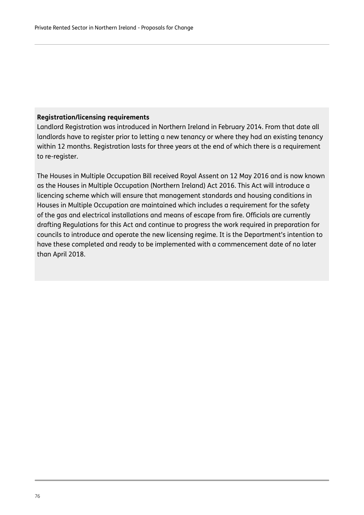#### **Registration/licensing requirements**

Landlord Registration was introduced in Northern Ireland in February 2014. From that date all landlords have to register prior to letting a new tenancy or where they had an existing tenancy within 12 months. Registration lasts for three years at the end of which there is a requirement to re-register.

The Houses in Multiple Occupation Bill received Royal Assent on 12 May 2016 and is now known as the Houses in Multiple Occupation (Northern Ireland) Act 2016. This Act will introduce a licencing scheme which will ensure that management standards and housing conditions in Houses in Multiple Occupation are maintained which includes a requirement for the safety of the gas and electrical installations and means of escape from fire. Officials are currently drafting Regulations for this Act and continue to progress the work required in preparation for councils to introduce and operate the new licensing regime. It is the Department's intention to have these completed and ready to be implemented with a commencement date of no later than April 2018.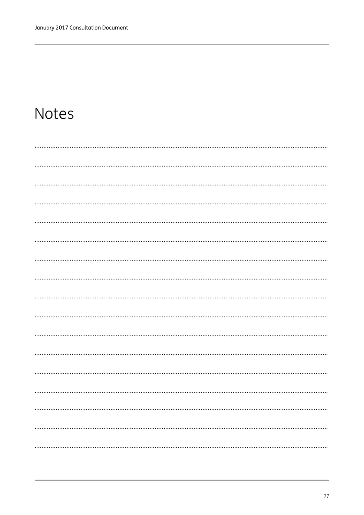# Notes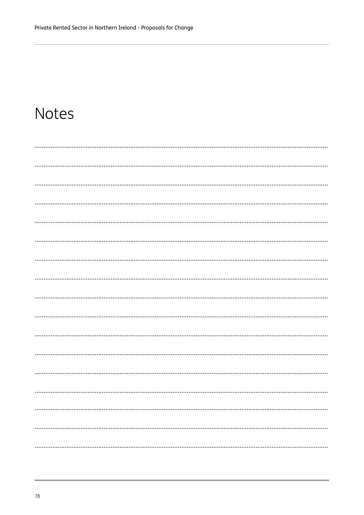### **Notes**